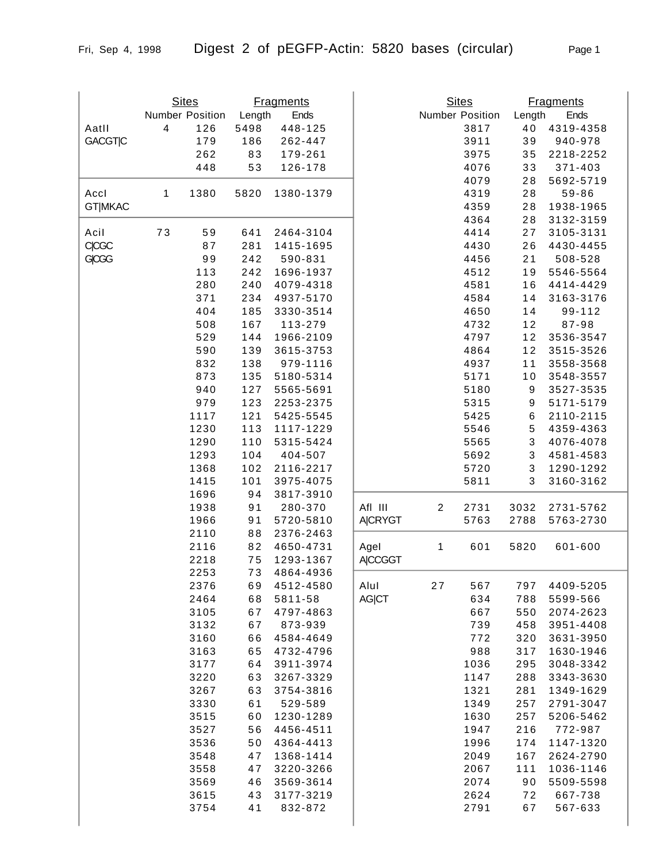|                | <b>Sites</b><br><b>Fragments</b> |                 |          |                        |                |                         | <b>Sites</b><br><b>Fragments</b> |                  |                        |
|----------------|----------------------------------|-----------------|----------|------------------------|----------------|-------------------------|----------------------------------|------------------|------------------------|
|                |                                  | Number Position | Length   | Ends                   |                |                         | Number Position                  | Length           | Ends                   |
| Aatll          | 4                                | 126             | 5498     | 448-125                |                |                         | 3817                             | 40               | 4319-4358              |
| <b>GACGTIC</b> |                                  | 179             | 186      | 262-447                |                |                         | 3911                             | 39               | 940-978                |
|                |                                  | 262             | 83       | 179-261                |                |                         | 3975                             | 35               | 2218-2252              |
|                |                                  | 448             | 53       | 126-178                |                |                         | 4076                             | 33               | 371-403                |
|                |                                  |                 |          |                        |                |                         | 4079                             | 28               | 5692-5719              |
| Accl           | 1                                | 1380            | 5820     | 1380-1379              |                |                         | 4319                             | 28               | 59-86                  |
| <b>GT MKAC</b> |                                  |                 |          |                        |                |                         | 4359                             | 28               | 1938-1965              |
|                |                                  |                 |          |                        |                |                         | 4364                             | 28               | 3132-3159              |
| Acil           | 73                               | 59              | 641      | 2464-3104              |                |                         | 4414                             | 27               | 3105-3131              |
| <b>CICGC</b>   |                                  | 87              | 281      | 1415-1695              |                |                         | 4430                             | 26               | 4430-4455              |
| GCGG           |                                  | 99              | 242      | 590-831                |                |                         | 4456                             | 21               | 508-528                |
|                |                                  | 113             | 242      | 1696-1937              |                |                         | 4512                             | 19               | 5546-5564              |
|                |                                  | 280             | 240      | 4079-4318              |                |                         | 4581                             | 16               | 4414-4429              |
|                |                                  | 371             | 234      | 4937-5170              |                |                         | 4584                             | 14               | 3163-3176              |
|                |                                  | 404             | 185      | 3330-3514              |                |                         | 4650                             | 14               | 99-112                 |
|                |                                  | 508             | 167      | 113-279                |                |                         | 4732                             | 12               | 87-98                  |
|                |                                  | 529             | 144      | 1966-2109              |                |                         | 4797                             | 12               | 3536-3547              |
|                |                                  | 590             | 139      | 3615-3753              |                |                         | 4864                             | 12               | 3515-3526              |
|                |                                  | 832             | 138      | 979-1116               |                |                         | 4937                             | 11               | 3558-3568              |
|                |                                  | 873             | 135      | 5180-5314              |                |                         | 5171                             | 10               | 3548-3557              |
|                |                                  | 940             | 127      | 5565-5691              |                |                         | 5180                             | $\boldsymbol{9}$ | 3527-3535              |
|                |                                  | 979             | 123      | 2253-2375              |                |                         | 5315                             | 9                | 5171-5179              |
|                |                                  | 1117            | 121      | 5425-5545              |                |                         | 5425                             | $\,6$            | 2110-2115              |
|                |                                  | 1230            | 113      | 1117-1229              |                |                         | 5546                             | 5                | 4359-4363              |
|                |                                  | 1290            | 110      | 5315-5424              |                |                         | 5565                             | 3                | 4076-4078              |
|                |                                  | 1293            | 104      | 404-507                |                |                         | 5692                             | 3                | 4581-4583              |
|                |                                  | 1368            | 102      | 2116-2217              |                |                         | 5720                             | 3                | 1290-1292              |
|                |                                  | 1415            | 101      | 3975-4075              |                |                         | 5811                             | 3                | 3160-3162              |
|                |                                  | 1696            | 94       | 3817-3910              |                |                         |                                  |                  |                        |
|                |                                  | 1938            | 91       | 280-370                | Afl III        | $\overline{\mathbf{c}}$ | 2731                             | 3032             | 2731-5762              |
|                |                                  | 1966            | 91       | 5720-5810              | A CRYGT        |                         | 5763                             | 2788             | 5763-2730              |
|                |                                  | 2110            | 88       | 2376-2463              |                |                         |                                  |                  |                        |
|                |                                  | 2116            | 82       | 4650-4731              | Agel           | 1                       | 601                              | 5820             | 601-600                |
|                |                                  | 2218            | 75       | 1293-1367              | <b>A CCGGT</b> |                         |                                  |                  |                        |
|                |                                  | 2253            | 73       | 4864-4936              |                |                         |                                  |                  |                        |
|                |                                  | 2376            | 69       | 4512-4580              | Alul           | 27                      | 567                              | 797              | 4409-5205              |
|                |                                  | 2464            | 68       | 5811-58                | <b>AG CT</b>   |                         | 634                              | 788              | 5599-566               |
|                |                                  | 3105            | 67       | 4797-4863              |                |                         | 667                              | 550              | 2074-2623              |
|                |                                  | 3132            | 67       | 873-939                |                |                         | 739                              | 458              | 3951-4408              |
|                |                                  | 3160            | 66       | 4584-4649              |                |                         | 772                              | 320              | 3631-3950              |
|                |                                  | 3163            | 65       | 4732-4796              |                |                         | 988                              | 317              | 1630-1946              |
|                |                                  | 3177            | 64       | 3911-3974              |                |                         | 1036                             | 295              | 3048-3342              |
|                |                                  | 3220            | 63       | 3267-3329              |                |                         | 1147                             | 288              | 3343-3630<br>1349-1629 |
|                |                                  | 3267<br>3330    | 63<br>61 | 3754-3816              |                |                         | 1321<br>1349                     | 281              |                        |
|                |                                  | 3515            |          | 529-589                |                |                         | 1630                             | 257<br>257       | 2791-3047              |
|                |                                  | 3527            | 60<br>56 | 1230-1289<br>4456-4511 |                |                         | 1947                             | 216              | 5206-5462<br>772-987   |
|                |                                  | 3536            | 50       | 4364-4413              |                |                         | 1996                             | 174              | 1147-1320              |
|                |                                  | 3548            | 47       | 1368-1414              |                |                         | 2049                             | 167              | 2624-2790              |
|                |                                  | 3558            | 47       | 3220-3266              |                |                         | 2067                             | 111              | 1036-1146              |
|                |                                  | 3569            | 46       | 3569-3614              |                |                         | 2074                             | 90               | 5509-5598              |
|                |                                  | 3615            | 43       | 3177-3219              |                |                         | 2624                             | 72               | 667-738                |
|                |                                  | 3754            | 41       | 832-872                |                |                         | 2791                             | 67               | 567-633                |
|                |                                  |                 |          |                        |                |                         |                                  |                  |                        |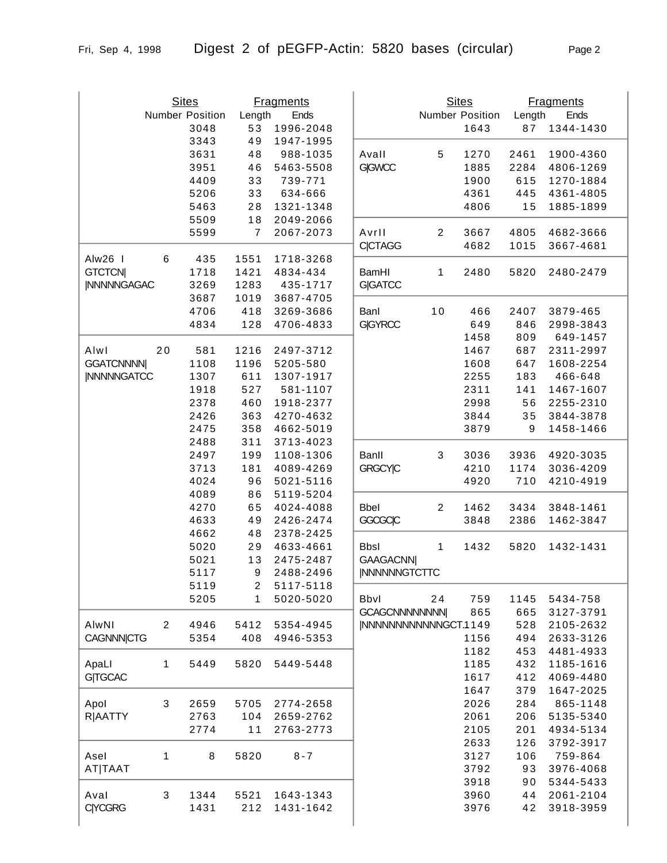|                    | <b>Sites</b><br>Number Position<br>3048 |      | Length<br>53            | <b>Fragments</b><br>Ends<br>1996-2048 |                       |                | <b>Sites</b><br>Number Position<br>1643 | Length<br>87     | <b>Fragments</b><br>Ends<br>1344-1430 |
|--------------------|-----------------------------------------|------|-------------------------|---------------------------------------|-----------------------|----------------|-----------------------------------------|------------------|---------------------------------------|
|                    |                                         | 3343 | 49                      | 1947-1995                             |                       |                |                                         |                  |                                       |
|                    |                                         | 3631 | 48                      | 988-1035                              | Avall                 | 5              | 1270                                    | 2461             | 1900-4360                             |
|                    |                                         | 3951 | 46                      | 5463-5508                             | <b>G GWCC</b>         |                | 1885                                    | 2284             | 4806-1269                             |
|                    |                                         | 4409 | 33                      | 739-771                               |                       |                | 1900                                    | 615              | 1270-1884                             |
|                    |                                         | 5206 | 33                      | 634-666                               |                       |                | 4361                                    | 445              | 4361-4805                             |
|                    |                                         | 5463 | 28                      | 1321-1348                             |                       |                | 4806                                    | 15               | 1885-1899                             |
|                    |                                         | 5509 | 18                      | 2049-2066                             |                       |                |                                         |                  |                                       |
|                    |                                         | 5599 | $\overline{7}$          | 2067-2073                             | Avrll                 | $\overline{2}$ | 3667                                    | 4805             | 4682-3666                             |
|                    |                                         |      |                         |                                       | <b>C CTAGG</b>        |                | 4682                                    | 1015             | 3667-4681                             |
| Alw26              | $\,6$                                   | 435  | 1551                    | 1718-3268                             |                       |                |                                         |                  |                                       |
| <b>GTCTCN</b>      |                                         | 1718 | 1421                    | 4834-434                              | <b>BamHI</b>          | 1              | 2480                                    | 5820             | 2480-2479                             |
| <b>INNNNNGAGAC</b> |                                         | 3269 | 1283                    | 435-1717                              | <b>G GATCC</b>        |                |                                         |                  |                                       |
|                    |                                         | 3687 | 1019                    | 3687-4705                             |                       |                |                                         |                  |                                       |
|                    |                                         | 4706 | 418                     | 3269-3686                             | Banl                  | 10             | 466                                     | 2407             | 3879-465                              |
|                    |                                         | 4834 | 128                     | 4706-4833                             | <b>G GYRCC</b>        |                | 649                                     | 846              | 2998-3843                             |
|                    |                                         |      |                         |                                       |                       |                | 1458                                    | 809              | 649-1457                              |
| Alwl               | 20                                      | 581  | 1216                    | 2497-3712                             |                       |                | 1467                                    | 687              | 2311-2997                             |
| <b>GGATCNNNN</b>   |                                         | 1108 | 1196                    | 5205-580                              |                       |                | 1608                                    | 647              | 1608-2254                             |
| <b>INNNNNGATCC</b> |                                         | 1307 | 611                     | 1307-1917                             |                       |                | 2255                                    | 183              | 466-648                               |
|                    |                                         | 1918 | 527                     | 581-1107                              |                       |                | 2311                                    | 141              | 1467-1607                             |
|                    |                                         | 2378 | 460                     | 1918-2377                             |                       |                | 2998                                    | 56               | 2255-2310                             |
|                    |                                         | 2426 | 363                     | 4270-4632                             |                       |                | 3844                                    | 35               | 3844-3878                             |
|                    |                                         | 2475 | 358                     | 4662-5019                             |                       |                | 3879                                    | $\boldsymbol{9}$ | 1458-1466                             |
|                    |                                         | 2488 | 311                     | 3713-4023                             |                       |                |                                         |                  |                                       |
|                    |                                         | 2497 | 199                     | 1108-1306                             | Banll                 | 3              | 3036                                    | 3936             | 4920-3035                             |
|                    |                                         | 3713 | 181                     | 4089-4269                             | <b>GRGCY C</b>        |                | 4210                                    | 1174             | 3036-4209                             |
|                    |                                         | 4024 | 96                      | 5021-5116                             |                       |                | 4920                                    | 710              | 4210-4919                             |
|                    |                                         | 4089 | 86                      | 5119-5204                             |                       |                |                                         |                  |                                       |
|                    |                                         | 4270 | 65                      | 4024-4088                             | <b>Bbel</b>           | $\overline{2}$ | 1462                                    | 3434             | 3848-1461                             |
|                    |                                         | 4633 | 49                      | 2426-2474                             | <b>GGCGCIC</b>        |                | 3848                                    | 2386             | 1462-3847                             |
|                    |                                         | 4662 | 48                      | 2378-2425                             |                       |                |                                         |                  |                                       |
|                    |                                         | 5020 | 29                      | 4633-4661                             | <b>Bbsl</b>           | 1              | 1432                                    | 5820             | 1432-1431                             |
|                    |                                         | 5021 | 13                      | 2475-2487                             | <b>GAAGACNN</b>       |                |                                         |                  |                                       |
|                    |                                         | 5117 | 9                       | 2488-2496                             | <b>INNNNNNGTCTTC</b>  |                |                                         |                  |                                       |
|                    |                                         | 5119 | $\overline{\mathbf{c}}$ | 5117-5118                             |                       |                |                                         |                  |                                       |
|                    |                                         | 5205 | 1                       | 5020-5020                             | <b>Bbvl</b>           | 24             | 759                                     | 1145             | 5434-758                              |
|                    |                                         |      |                         |                                       | <b>GCAGCNNNNNNNN</b>  |                | 865                                     | 665              | 3127-3791                             |
| AlwNI              | $\overline{2}$                          | 4946 | 5412                    | 5354-4945                             | INNNNNNNNNNNNGCT.1149 |                |                                         | 528              | 2105-2632                             |
| <b>CAGNNN CTG</b>  |                                         | 5354 | 408                     | 4946-5353                             |                       |                | 1156                                    | 494              | 2633-3126                             |
|                    |                                         |      |                         |                                       |                       |                | 1182                                    | 453              | 4481-4933                             |
| ApaLl              | 1                                       | 5449 | 5820                    | 5449-5448                             |                       |                | 1185                                    | 432              | 1185-1616                             |
| <b>G TGCAC</b>     |                                         |      |                         |                                       |                       |                | 1617                                    | 412              | 4069-4480                             |
|                    |                                         |      |                         |                                       |                       |                | 1647                                    | 379              | 1647-2025                             |
| Apol               | 3                                       | 2659 | 5705                    | 2774-2658                             |                       |                | 2026                                    | 284              | 865-1148                              |
| <b>R AATTY</b>     |                                         | 2763 | 104                     | 2659-2762                             |                       |                | 2061                                    | 206              | 5135-5340                             |
|                    |                                         | 2774 | 11                      | 2763-2773                             |                       |                | 2105                                    | 201              | 4934-5134                             |
|                    |                                         |      |                         |                                       |                       |                | 2633                                    | 126              | 3792-3917                             |
| Asel               | 1                                       | 8    | 5820                    | $8 - 7$                               |                       |                | 3127                                    | 106              | 759-864                               |
| <b>AT TAAT</b>     |                                         |      |                         |                                       |                       |                | 3792                                    | 93               | 3976-4068                             |
|                    |                                         |      |                         |                                       |                       |                | 3918                                    | 90               | 5344-5433                             |
| Aval               | 3                                       | 1344 | 5521                    | 1643-1343                             |                       |                | 3960                                    | 44               | 2061-2104                             |
| <b>C YCGRG</b>     |                                         | 1431 | 212                     | 1431-1642                             |                       |                | 3976                                    | 42               | 3918-3959                             |
|                    |                                         |      |                         |                                       |                       |                |                                         |                  |                                       |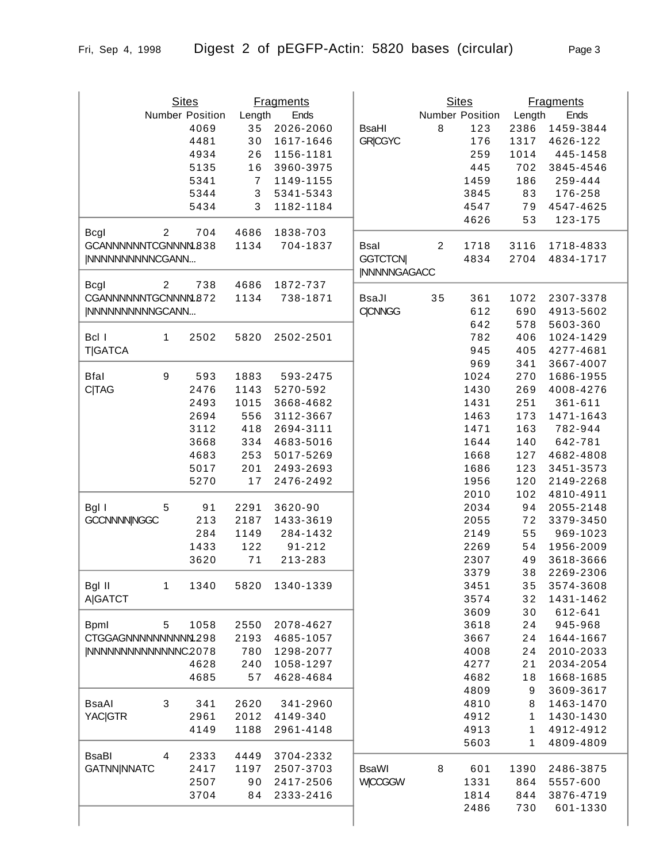|                      |                | <b>Sites</b>    |                           | <b>Fragments</b> |                     |                | <b>Sites</b>    |        | <b>Fragments</b> |
|----------------------|----------------|-----------------|---------------------------|------------------|---------------------|----------------|-----------------|--------|------------------|
|                      |                | Number Position | Length                    | Ends             |                     |                | Number Position | Length | Ends             |
|                      |                | 4069            | 35                        | 2026-2060        | <b>BsaHI</b>        | 8              | 123             | 2386   | 1459-3844        |
|                      |                | 4481            | 30                        | 1617-1646        | <b>GRICGYC</b>      |                | 176             | 1317   | 4626-122         |
|                      |                | 4934            | 26                        | 1156-1181        |                     |                | 259             | 1014   | 445-1458         |
|                      |                | 5135            | 16                        | 3960-3975        |                     |                | 445             | 702    | 3845-4546        |
|                      |                |                 | $\overline{7}$            |                  |                     |                |                 |        |                  |
|                      |                | 5341            |                           | 1149-1155        |                     |                | 1459            | 186    | 259-444          |
|                      |                | 5344            | $\ensuremath{\mathsf{3}}$ | 5341-5343        |                     |                | 3845            | 83     | 176-258          |
|                      |                | 5434            | 3                         | 1182-1184        |                     |                | 4547            | 79     | 4547-4625        |
|                      |                |                 |                           |                  |                     |                | 4626            | 53     | 123-175          |
| Bcgl                 | $\overline{2}$ | 704             | 4686                      | 1838-703         |                     |                |                 |        |                  |
| GCANNNNNNTCGNNNM.838 |                |                 | 1134                      | 704-1837         | <b>Bsal</b>         | $\overline{2}$ | 1718            | 3116   | 1718-4833        |
| INNNNNNNNNNCGANN     |                |                 |                           |                  | <b>GGTCTCN</b>      |                | 4834            | 2704   | 4834-1717        |
|                      |                |                 |                           |                  | <b>INNNNNGAGACC</b> |                |                 |        |                  |
| Bcgl                 | $\overline{2}$ | 738             | 4686                      | 1872-737         |                     |                |                 |        |                  |
| CGANNNNNNTGCNNNM.872 |                |                 | 1134                      | 738-1871         | <b>BsaJl</b>        | 35             | 361             | 1072   | 2307-3378        |
| INNNNNNNNNNGCANN     |                |                 |                           |                  | <b>C CNNGG</b>      |                | 612             | 690    | 4913-5602        |
|                      |                |                 |                           |                  |                     |                | 642             | 578    | 5603-360         |
| Bcl I                | 1              | 2502            | 5820                      | 2502-2501        |                     |                | 782             | 406    | 1024-1429        |
|                      |                |                 |                           |                  |                     |                |                 |        |                  |
| <b>T GATCA</b>       |                |                 |                           |                  |                     |                | 945             | 405    | 4277-4681        |
|                      |                |                 |                           |                  |                     |                | 969             | 341    | 3667-4007        |
| <b>Bfal</b>          | 9              | 593             | 1883                      | 593-2475         |                     |                | 1024            | 270    | 1686-1955        |
| <b>C TAG</b>         |                | 2476            | 1143                      | 5270-592         |                     |                | 1430            | 269    | 4008-4276        |
|                      |                | 2493            | 1015                      | 3668-4682        |                     |                | 1431            | 251    | 361-611          |
|                      |                | 2694            | 556                       | 3112-3667        |                     |                | 1463            | 173    | 1471-1643        |
|                      |                | 3112            | 418                       | 2694-3111        |                     |                | 1471            | 163    | 782-944          |
|                      |                | 3668            | 334                       | 4683-5016        |                     |                | 1644            | 140    | 642-781          |
|                      |                | 4683            | 253                       | 5017-5269        |                     |                | 1668            | 127    | 4682-4808        |
|                      |                | 5017            | 201                       | 2493-2693        |                     |                | 1686            | 123    | 3451-3573        |
|                      |                | 5270            | 17                        | 2476-2492        |                     |                | 1956            | 120    | 2149-2268        |
|                      |                |                 |                           |                  |                     |                | 2010            | 102    | 4810-4911        |
|                      |                |                 |                           | 3620-90          |                     |                |                 |        |                  |
| Bgl I                | 5              | 91              | 2291                      |                  |                     |                | 2034            | 94     | 2055-2148        |
| <b>GCCNNNNINGGC</b>  |                | 213             | 2187                      | 1433-3619        |                     |                | 2055            | 72     | 3379-3450        |
|                      |                | 284             | 1149                      | 284-1432         |                     |                | 2149            | 55     | 969-1023         |
|                      |                | 1433            | 122                       | $91 - 212$       |                     |                | 2269            | 54     | 1956-2009        |
|                      |                | 3620            | 71                        | 213-283          |                     |                | 2307            | 49     | 3618-3666        |
|                      |                |                 |                           |                  |                     |                | 3379            | 38     | 2269-2306        |
| Bgl II               | 1              | 1340            | 5820                      | 1340-1339        |                     |                | 3451            | 35     | 3574-3608        |
| <b>A GATCT</b>       |                |                 |                           |                  |                     |                | 3574            | 32     | 1431-1462        |
|                      |                |                 |                           |                  |                     |                | 3609            | 30     | 612-641          |
| <b>Bpml</b>          | 5              | 1058            | 2550                      | 2078-4627        |                     |                | 3618            | 24     | 945-968          |
| CTGGAGNNNNNNNNNM.298 |                |                 | 2193                      | 4685-1057        |                     |                | 3667            | 24     | 1644-1667        |
| INNNNNNNNNNNNNC2078  |                |                 | 780                       | 1298-2077        |                     |                | 4008            | 24     | 2010-2033        |
|                      |                | 4628            | 240                       | 1058-1297        |                     |                | 4277            | 21     | 2034-2054        |
|                      |                | 4685            | 57                        | 4628-4684        |                     |                | 4682            | 18     | 1668-1685        |
|                      |                |                 |                           |                  |                     |                | 4809            | 9      | 3609-3617        |
|                      |                |                 |                           |                  |                     |                |                 |        |                  |
| <b>BsaAl</b>         | 3              | 341             | 2620                      | 341-2960         |                     |                | 4810            | 8      | 1463-1470        |
| <b>YAC GTR</b>       |                | 2961            | 2012                      | 4149-340         |                     |                | 4912            | 1      | 1430-1430        |
|                      |                | 4149            | 1188                      | 2961-4148        |                     |                | 4913            | 1      | 4912-4912        |
|                      |                |                 |                           |                  |                     |                | 5603            | 1      | 4809-4809        |
| <b>BsaBI</b>         | 4              | 2333            | 4449                      | 3704-2332        |                     |                |                 |        |                  |
| <b>GATNN NNATC</b>   |                | 2417            | 1197                      | 2507-3703        | <b>BsaWI</b>        | 8              | 601             | 1390   | 2486-3875        |
|                      |                | 2507            | 90                        | 2417-2506        | <b>WICCGGW</b>      |                | 1331            | 864    | 5557-600         |
|                      |                | 3704            | 84                        | 2333-2416        |                     |                | 1814            | 844    | 3876-4719        |
|                      |                |                 |                           |                  |                     |                | 2486            | 730    | 601-1330         |
|                      |                |                 |                           |                  |                     |                |                 |        |                  |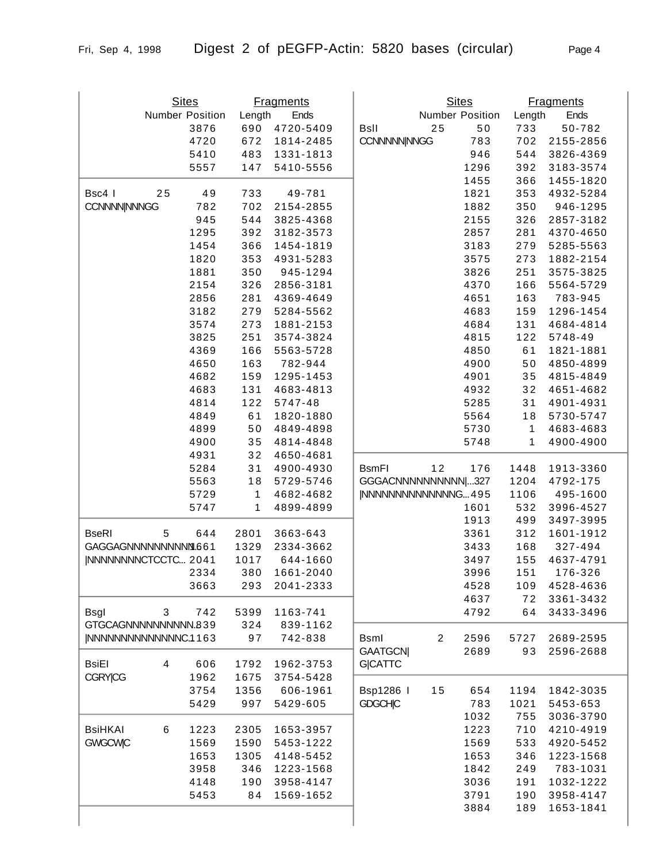Sites Number Position 3876 4720 5410 5557

Bsc4 | 25 49 CCNNNN|NNNGG 782

|        | <b>Fragments</b> |                     | <b>Sites</b> |                        |              | <b>Fragments</b> |
|--------|------------------|---------------------|--------------|------------------------|--------------|------------------|
| Length | Ends             |                     |              | <b>Number Position</b> | Length       | Ends             |
| 690    | 4720-5409        | <b>BsII</b>         | 25           | 50                     | 733          | 50-782           |
| 672    | 1814-2485        | <b>CCNNNNNNNGG</b>  |              | 783                    | 702          | 2155-2856        |
| 483    | 1331-1813        |                     |              | 946                    | 544          | 3826-4369        |
| 147    | 5410-5556        |                     |              | 1296                   | 392          | 3183-3574        |
|        |                  |                     |              | 1455                   | 366          | 1455-1820        |
| 733    | 49-781           |                     |              | 1821                   | 353          | 4932-5284        |
| 702    | 2154-2855        |                     |              | 1882                   | 350          | 946-1295         |
| 544    | 3825-4368        |                     |              | 2155                   | 326          | 2857-3182        |
| 392    | 3182-3573        |                     |              | 2857                   | 281          | 4370-4650        |
| 366    | 1454-1819        |                     |              | 3183                   | 279          | 5285-5563        |
| 353    | 4931-5283        |                     |              | 3575                   | 273          | 1882-2154        |
| 350    | 945-1294         |                     |              | 3826                   | 251          | 3575-3825        |
| 326    | 2856-3181        |                     |              | 4370                   | 166          | 5564-5729        |
| 281    | 4369-4649        |                     |              | 4651                   | 163          | 783-945          |
| 279    | 5284-5562        |                     |              | 4683                   | 159          | 1296-1454        |
| 273    | 1881-2153        |                     |              | 4684                   | 131          | 4684-4814        |
| 251    | 3574-3824        |                     |              | 4815                   | 122          | 5748-49          |
| 166    | 5563-5728        |                     |              | 4850                   | 61           | 1821-1881        |
| 163    | 782-944          |                     |              | 4900                   | 50           | 4850-4899        |
| 159    | 1295-1453        |                     |              | 4901                   | 35           | 4815-4849        |
| 131    | 4683-4813        |                     |              | 4932                   | 32           | 4651-4682        |
| 122    | 5747-48          |                     |              | 5285                   | 31           | 4901-4931        |
| 61     | 1820-1880        |                     |              | 5564                   | 18           | 5730-5747        |
| 50     | 4849-4898        |                     |              | 5730                   | 1            | 4683-4683        |
| 35     | 4814-4848        |                     |              | 5748                   | $\mathbf{1}$ | 4900-4900        |
| 32     | 4650-4681        |                     |              |                        |              |                  |
| 31     | 4900-4930        | <b>B</b> smFI       | 12           | 176                    | 1448         | 1913-3360        |
| 18     | 5729-5746        | GGGACNNNNNNNNNN 327 |              |                        | 1204         | 4792-175         |

|                      |   | 4650 | 163          | 782-944   |                     |                | 4900 | 50           | 4850-4899 |
|----------------------|---|------|--------------|-----------|---------------------|----------------|------|--------------|-----------|
|                      |   | 4682 | 159          | 1295-1453 |                     |                | 4901 | 35           | 4815-4849 |
|                      |   | 4683 | 131          | 4683-4813 |                     |                | 4932 | 32           | 4651-4682 |
|                      |   | 4814 | 122          | 5747-48   |                     |                | 5285 | 31           | 4901-4931 |
|                      |   | 4849 | 61           | 1820-1880 |                     |                | 5564 | 18           | 5730-5747 |
|                      |   | 4899 | 50           | 4849-4898 |                     |                | 5730 | $\mathbf{1}$ | 4683-4683 |
|                      |   | 4900 | 35           | 4814-4848 |                     |                | 5748 | 1            | 4900-4900 |
|                      |   | 4931 | 32           | 4650-4681 |                     |                |      |              |           |
|                      |   | 5284 | 31           | 4900-4930 | <b>BsmFI</b>        | 12             | 176  | 1448         | 1913-3360 |
|                      |   | 5563 | 18           | 5729-5746 | GGGACNNNNNNNNNN 327 |                |      | 1204         | 4792-175  |
|                      |   | 5729 | $\mathbf{1}$ | 4682-4682 | INNNNNNNNNNNNNNG495 |                |      | 1106         | 495-1600  |
|                      |   | 5747 | 1            | 4899-4899 |                     |                | 1601 | 532          | 3996-4527 |
|                      |   |      |              |           |                     |                | 1913 | 499          | 3497-3995 |
| <b>BseRI</b>         | 5 | 644  | 2801         | 3663-643  |                     |                | 3361 | 312          | 1601-1912 |
| GAGGAGNNNNNNNNNM.661 |   |      | 1329         | 2334-3662 |                     |                | 3433 | 168          | 327-494   |
| INNNNNNNNCTCCTC 2041 |   |      | 1017         | 644-1660  |                     |                | 3497 | 155          | 4637-4791 |
|                      |   | 2334 | 380          | 1661-2040 |                     |                | 3996 | 151          | 176-326   |
|                      |   | 3663 | 293          | 2041-2333 |                     |                | 4528 | 109          | 4528-4636 |
|                      |   |      |              |           |                     |                | 4637 | 72           | 3361-3432 |
| <b>Bsgl</b>          | 3 | 742  | 5399         | 1163-741  |                     |                | 4792 | 64           | 3433-3496 |
| GTGCAGNNNNNNNNNN.839 |   |      | 324          | 839-1162  |                     |                |      |              |           |
| NNNNNNNNNNNNNNC.1163 |   |      | 97           | 742-838   | <b>Bsml</b>         | $\overline{2}$ | 2596 | 5727         | 2689-2595 |
|                      |   |      |              |           | <b>GAATGCN</b>      |                | 2689 | 93           | 2596-2688 |
| <b>BsiEI</b>         | 4 | 606  | 1792         | 1962-3753 | <b>G CATTC</b>      |                |      |              |           |
| <b>CGRY CG</b>       |   | 1962 | 1675         | 3754-5428 |                     |                |      |              |           |
|                      |   | 3754 | 1356         | 606-1961  | Bsp1286             | 15             | 654  | 1194         | 1842-3035 |
|                      |   | 5429 | 997          | 5429-605  | <b>GDGCHIC</b>      |                | 783  | 1021         | 5453-653  |
|                      |   |      |              |           |                     |                | 1032 | 755          | 3036-3790 |
| <b>BsiHKAI</b>       | 6 | 1223 | 2305         | 1653-3957 |                     |                | 1223 | 710          | 4210-4919 |
| <b>GWGCWIC</b>       |   | 1569 | 1590         | 5453-1222 |                     |                | 1569 | 533          | 4920-5452 |
|                      |   | 1653 | 1305         | 4148-5452 |                     |                | 1653 | 346          | 1223-1568 |
|                      |   | 3958 | 346          | 1223-1568 |                     |                | 1842 | 249          | 783-1031  |
|                      |   | 4148 | 190          | 3958-4147 |                     |                | 3036 | 191          | 1032-1222 |
|                      |   | 5453 | 84           | 1569-1652 |                     |                | 3791 | 190          | 3958-4147 |
|                      |   |      |              |           |                     |                | 3884 | 189          | 1653-1841 |
|                      |   |      |              |           |                     |                |      |              |           |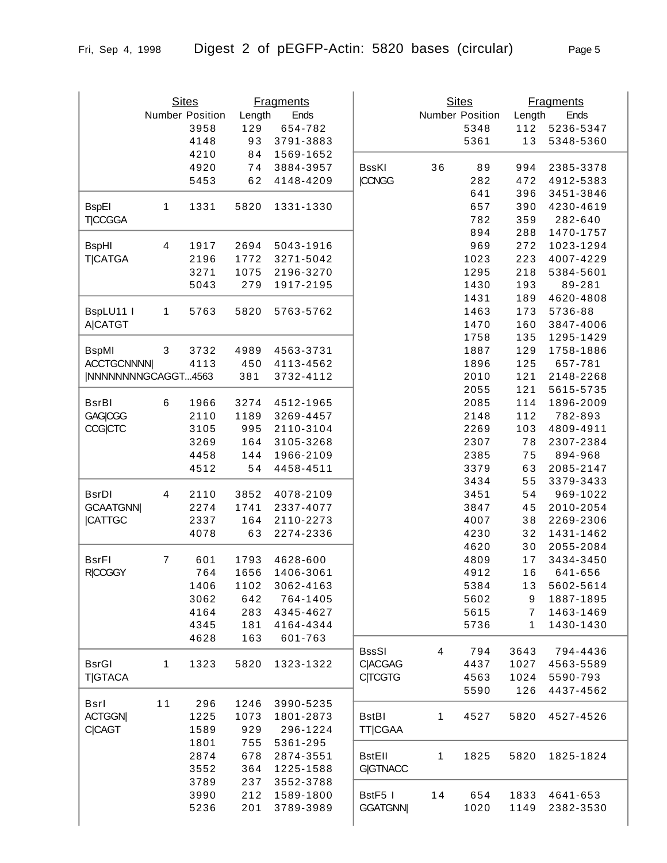|                     |                  | <b>Sites</b>    |        | <b>Fragments</b> |                 |    | <b>Sites</b>    |                | <b>Fragments</b> |
|---------------------|------------------|-----------------|--------|------------------|-----------------|----|-----------------|----------------|------------------|
|                     |                  | Number Position | Length | Ends             |                 |    | Number Position | Length         | Ends             |
|                     |                  | 3958            | 129    | 654-782          |                 |    | 5348            | 112            | 5236-5347        |
|                     |                  | 4148            | 93     | 3791-3883        |                 |    | 5361            | 13             | 5348-5360        |
|                     |                  | 4210            | 84     | 1569-1652        |                 |    |                 |                |                  |
|                     |                  | 4920            | 74     | 3884-3957        | <b>BssKI</b>    | 36 | 89              | 994            | 2385-3378        |
|                     |                  | 5453            | 62     | 4148-4209        | <b>CCNGG</b>    |    | 282             | 472            | 4912-5383        |
|                     |                  |                 |        |                  |                 |    | 641             | 396            | 3451-3846        |
| <b>BspEI</b>        | 1                | 1331            | 5820   | 1331-1330        |                 |    | 657             | 390            | 4230-4619        |
| <b>TICCGGA</b>      |                  |                 |        |                  |                 |    | 782             | 359            | 282-640          |
|                     |                  |                 |        |                  |                 |    | 894             | 288            | 1470-1757        |
| <b>BspHI</b>        | 4                | 1917            | 2694   | 5043-1916        |                 |    | 969             | 272            | 1023-1294        |
| <b>T CATGA</b>      |                  | 2196            | 1772   | 3271-5042        |                 |    | 1023            | 223            | 4007-4229        |
|                     |                  | 3271            | 1075   | 2196-3270        |                 |    | 1295            | 218            | 5384-5601        |
|                     |                  | 5043            | 279    | 1917-2195        |                 |    | 1430            | 193            | 89-281           |
|                     |                  |                 |        |                  |                 |    | 1431            | 189            | 4620-4808        |
| BspLU11 I           | 1                | 5763            | 5820   | 5763-5762        |                 |    | 1463            | 173            | 5736-88          |
| <b>A CATGT</b>      |                  |                 |        |                  |                 |    | 1470            | 160            | 3847-4006        |
|                     |                  |                 |        |                  |                 |    | 1758            | 135            | 1295-1429        |
| <b>BspMI</b>        | $\sqrt{3}$       | 3732            | 4989   | 4563-3731        |                 |    | 1887            | 129            | 1758-1886        |
| <b>ACCTGCNNNN</b>   |                  | 4113            | 450    | 4113-4562        |                 |    | 1896            | 125            | 657-781          |
| INNNNNNNNGCAGGT4563 |                  |                 | 381    | 3732-4112        |                 |    | 2010            | 121            | 2148-2268        |
|                     |                  |                 |        |                  |                 |    | 2055            | 121            | 5615-5735        |
| <b>BsrBI</b>        | 6                | 1966            | 3274   | 4512-1965        |                 |    | 2085            | 114            | 1896-2009        |
| <b>GAG CGG</b>      |                  | 2110            | 1189   | 3269-4457        |                 |    | 2148            | 112            | 782-893          |
|                     |                  |                 |        |                  |                 |    |                 |                |                  |
| <b>CCG</b> CTC      |                  | 3105            | 995    | 2110-3104        |                 |    | 2269            | 103            | 4809-4911        |
|                     |                  | 3269            | 164    | 3105-3268        |                 |    | 2307            | 78             | 2307-2384        |
|                     |                  | 4458            | 144    | 1966-2109        |                 |    | 2385            | 75             | 894-968          |
|                     |                  | 4512            | 54     | 4458-4511        |                 |    | 3379            | 63             | 2085-2147        |
|                     |                  |                 |        |                  |                 |    | 3434            | 55             | 3379-3433        |
| <b>BsrDI</b>        | $\overline{4}$   | 2110            | 3852   | 4078-2109        |                 |    | 3451            | 54             | 969-1022         |
| <b>GCAATGNN</b>     |                  | 2274            | 1741   | 2337-4077        |                 |    | 3847            | 45             | 2010-2054        |
| <b>CATTGC</b>       |                  | 2337            | 164    | 2110-2273        |                 |    | 4007            | 38             | 2269-2306        |
|                     |                  | 4078            | 63     | 2274-2336        |                 |    | 4230            | 32             | 1431-1462        |
|                     |                  |                 |        |                  |                 |    | 4620            | 30             | 2055-2084        |
| <b>BsrFI</b>        | $\boldsymbol{7}$ | 601             | 1793   | 4628-600         |                 |    | 4809            | 17             | 3434-3450        |
| <b>RICCGGY</b>      |                  | 764             | 1656   | 1406-3061        |                 |    | 4912            | 16             | 641-656          |
|                     |                  | 1406            | 1102   | 3062-4163        |                 |    | 5384            | 13             | 5602-5614        |
|                     |                  | 3062            | 642    | 764-1405         |                 |    | 5602            | 9              | 1887-1895        |
|                     |                  | 4164            | 283    | 4345-4627        |                 |    | 5615            | $\overline{7}$ | 1463-1469        |
|                     |                  | 4345            | 181    | 4164-4344        |                 |    | 5736            | 1              | 1430-1430        |
|                     |                  | 4628            | 163    | 601-763          |                 |    |                 |                |                  |
|                     |                  |                 |        |                  | <b>BssSI</b>    | 4  | 794             | 3643           | 794-4436         |
| <b>BsrGI</b>        | 1                | 1323            | 5820   | 1323-1322        | <b>C ACGAG</b>  |    | 4437            | 1027           | 4563-5589        |
| <b>T GTACA</b>      |                  |                 |        |                  | <b>C TCGTG</b>  |    | 4563            | 1024           | 5590-793         |
|                     |                  |                 |        |                  |                 |    | 5590            | 126            | 4437-4562        |
| Bsrl                | 11               | 296             | 1246   | 3990-5235        |                 |    |                 |                |                  |
| <b>ACTGGN</b>       |                  | 1225            | 1073   | 1801-2873        | <b>BstBI</b>    | 1  | 4527            | 5820           | 4527-4526        |
| <b>C CAGT</b>       |                  | 1589            | 929    | 296-1224         | <b>TT CGAA</b>  |    |                 |                |                  |
|                     |                  | 1801            | 755    | 5361-295         |                 |    |                 |                |                  |
|                     |                  | 2874            | 678    | 2874-3551        | <b>BstEll</b>   | 1  | 1825            | 5820           | 1825-1824        |
|                     |                  | 3552            | 364    | 1225-1588        | <b>G GTNACC</b> |    |                 |                |                  |
|                     |                  | 3789            | 237    | 3552-3788        |                 |    |                 |                |                  |
|                     |                  | 3990            | 212    | 1589-1800        | BstF5 I         | 14 | 654             | 1833           | 4641-653         |
|                     |                  |                 |        |                  |                 |    |                 |                |                  |
|                     |                  | 5236            | 201    | 3789-3989        | <b>GGATGNN</b>  |    | 1020            | 1149           | 2382-3530        |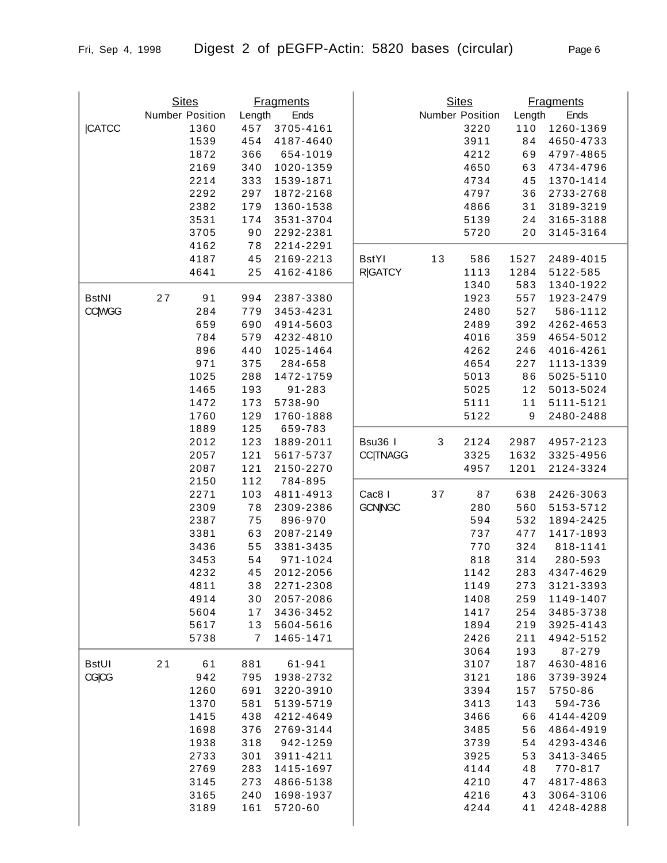|               | <b>Sites</b>    |      |                | <b>Fragments</b> |                 |      | <b>Sites</b>    |                  | <b>Fragments</b> |
|---------------|-----------------|------|----------------|------------------|-----------------|------|-----------------|------------------|------------------|
|               | Number Position |      | Length         | Ends             |                 |      | Number Position | Length           | Ends             |
| <b>CATCC</b>  |                 | 1360 | 457            | 3705-4161        |                 |      | 3220            | 110              | 1260-1369        |
|               |                 | 1539 | 454            | 4187-4640        |                 |      | 3911            | 84               | 4650-4733        |
|               |                 | 1872 | 366            | 654-1019         |                 |      | 4212            | 69               | 4797-4865        |
|               |                 | 2169 | 340            | 1020-1359        |                 |      | 4650            | 63               | 4734-4796        |
|               |                 | 2214 | 333            | 1539-1871        |                 |      | 4734            | 45               | 1370-1414        |
|               |                 | 2292 | 297            | 1872-2168        |                 |      | 4797            | 36               | 2733-2768        |
|               |                 | 2382 | 179            | 1360-1538        |                 |      | 4866            | 31               | 3189-3219        |
|               |                 | 3531 | 174            | 3531-3704        |                 |      | 5139            | 24               | 3165-3188        |
|               |                 |      |                |                  |                 |      |                 |                  |                  |
|               |                 | 3705 | 90             | 2292-2381        |                 |      | 5720            | 20               | 3145-3164        |
|               |                 | 4162 | 78             | 2214-2291        |                 |      |                 |                  |                  |
|               |                 | 4187 | 45             | 2169-2213        | <b>BstYl</b>    | 13   | 586             | 1527             | 2489-4015        |
|               |                 | 4641 | 25             | 4162-4186        | <b>R GATCY</b>  |      | 1113            | 1284             | 5122-585         |
|               |                 |      |                |                  |                 |      | 1340            | 583              | 1340-1922        |
| <b>BstNI</b>  | 27              | 91   | 994            | 2387-3380        |                 |      | 1923            | 557              | 1923-2479        |
| <b>CC WGG</b> |                 | 284  | 779            | 3453-4231        |                 |      | 2480            | 527              | 586-1112         |
|               |                 | 659  | 690            | 4914-5603        |                 |      | 2489            | 392              | 4262-4653        |
|               |                 | 784  | 579            | 4232-4810        |                 |      | 4016            | 359              | 4654-5012        |
|               |                 | 896  | 440            | 1025-1464        |                 |      | 4262            | 246              | 4016-4261        |
|               |                 | 971  | 375            | 284-658          |                 |      | 4654            | 227              | 1113-1339        |
|               |                 | 1025 | 288            | 1472-1759        |                 |      | 5013            | 86               | 5025-5110        |
|               |                 | 1465 | 193            | 91-283           |                 |      | 5025            | 12               | 5013-5024        |
|               |                 | 1472 | 173            | 5738-90          |                 |      | 5111            | 11               | 5111-5121        |
|               |                 | 1760 | 129            | 1760-1888        |                 |      | 5122            | $\boldsymbol{9}$ | 2480-2488        |
|               |                 | 1889 | 125            |                  |                 |      |                 |                  |                  |
|               |                 |      |                | 659-783          |                 |      |                 |                  |                  |
|               |                 | 2012 | 123            | 1889-2011        | Bsu36 I         | 3    | 2124            | 2987             | 4957-2123        |
|               |                 | 2057 | $121$          | 5617-5737        | <b>CC TNAGG</b> |      | 3325            | 1632             | 3325-4956        |
|               |                 | 2087 | $121$          | 2150-2270        |                 |      | 4957            | 1201             | 2124-3324        |
|               |                 | 2150 | 112            | 784-895          |                 |      |                 |                  |                  |
|               |                 | 2271 | 103            | 4811-4913        | Cac8 I          | $37$ | 87              | 638              | 2426-3063        |
|               |                 | 2309 | 78             | 2309-2386        | <b>GCN NGC</b>  |      | 280             | 560              | 5153-5712        |
|               |                 | 2387 | 75             | 896-970          |                 |      | 594             | 532              | 1894-2425        |
|               |                 | 3381 | 63             | 2087-2149        |                 |      | 737             | 477              | 1417-1893        |
|               |                 | 3436 | 55             | 3381-3435        |                 |      | 770             | 324              | 818-1141         |
|               |                 | 3453 | 54             | 971-1024         |                 |      | 818             | 314              | 280-593          |
|               |                 | 4232 | 45             | 2012-2056        |                 |      | 1142            | 283              | 4347-4629        |
|               |                 | 4811 | 38             | 2271-2308        |                 |      | 1149            | 273              | 3121-3393        |
|               |                 | 4914 | 30             | 2057-2086        |                 |      | 1408            | 259              | 1149-1407        |
|               |                 | 5604 | 17             | 3436-3452        |                 |      | 1417            | 254              | 3485-3738        |
|               |                 | 5617 | 13             | 5604-5616        |                 |      | 1894            | 219              | 3925-4143        |
|               |                 |      |                |                  |                 |      |                 |                  |                  |
|               |                 | 5738 | $\overline{7}$ | 1465-1471        |                 |      | 2426            | 211              | 4942-5152        |
|               |                 |      |                |                  |                 |      | 3064            | 193              | 87-279           |
| <b>BstUI</b>  | 21              | 61   | 881            | 61-941           |                 |      | 3107            | 187              | 4630-4816        |
| CGICG         |                 | 942  | 795            | 1938-2732        |                 |      | 3121            | 186              | 3739-3924        |
|               |                 | 1260 | 691            | 3220-3910        |                 |      | 3394            | 157              | 5750-86          |
|               |                 | 1370 | 581            | 5139-5719        |                 |      | 3413            | 143              | 594-736          |
|               |                 | 1415 | 438            | 4212-4649        |                 |      | 3466            | 66               | 4144-4209        |
|               |                 | 1698 | 376            | 2769-3144        |                 |      | 3485            | 56               | 4864-4919        |
|               |                 | 1938 | 318            | 942-1259         |                 |      | 3739            | 54               | 4293-4346        |
|               |                 | 2733 | 301            | 3911-4211        |                 |      | 3925            | 53               | 3413-3465        |
|               |                 | 2769 | 283            | 1415-1697        |                 |      | 4144            | 48               | 770-817          |
|               |                 | 3145 | 273            | 4866-5138        |                 |      | 4210            | 47               | 4817-4863        |
|               |                 | 3165 | 240            | 1698-1937        |                 |      | 4216            | 43               | 3064-3106        |
|               |                 | 3189 | 161            | 5720-60          |                 |      | 4244            | 41               | 4248-4288        |
|               |                 |      |                |                  |                 |      |                 |                  |                  |
|               |                 |      |                |                  |                 |      |                 |                  |                  |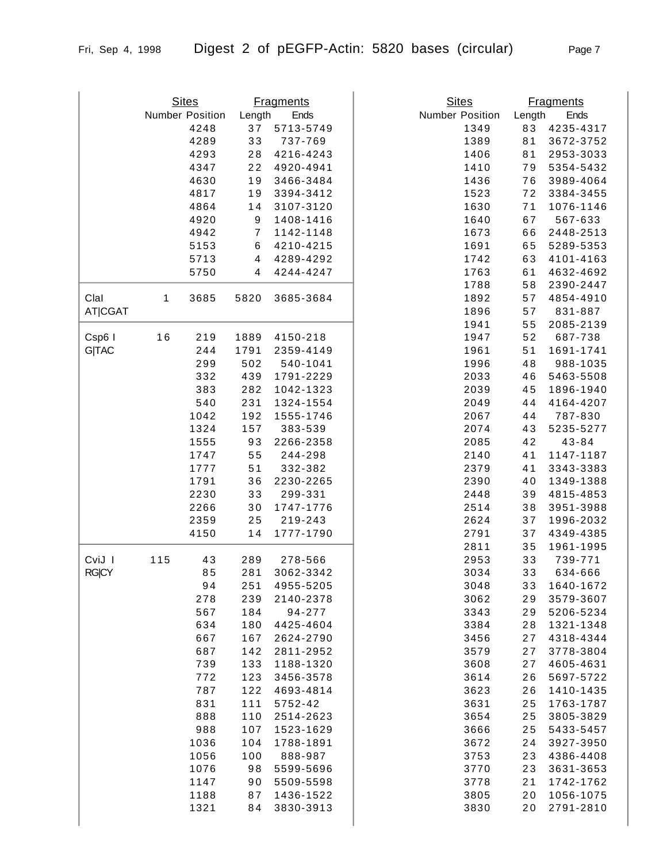|                      |     | <b>Sites</b>    |                         | <b>Fragments</b> | <b>Sites</b>    |        |                  |
|----------------------|-----|-----------------|-------------------------|------------------|-----------------|--------|------------------|
|                      |     |                 |                         |                  | Number Position |        | <b>Fragments</b> |
|                      |     | Number Position | Length                  | Ends             |                 | Length | Ends             |
|                      |     | 4248            | 37                      | 5713-5749        | 1349            | 83     | 4235-4317        |
|                      |     | 4289            | 33                      | 737-769          | 1389            | 81     | 3672-3752        |
|                      |     | 4293            | 28                      | 4216-4243        | 1406            | 81     | 2953-3033        |
|                      |     | 4347            | 22                      | 4920-4941        | 1410            | 79     | 5354-5432        |
|                      |     | 4630            | 19                      | 3466-3484        | 1436            | 76     | 3989-4064        |
|                      |     | 4817            | 19                      | 3394-3412        | 1523            | 72     | 3384-3455        |
|                      |     | 4864            | 14                      | 3107-3120        | 1630            | 71     | 1076-1146        |
|                      |     | 4920            | 9                       | 1408-1416        | 1640            | 67     | 567-633          |
|                      |     | 4942            | $\boldsymbol{7}$        | 1142-1148        | 1673            | 66     | 2448-2513        |
|                      |     | 5153            | $\,6$                   | 4210-4215        | 1691            | 65     | 5289-5353        |
|                      |     | 5713            | $\overline{\mathbf{4}}$ | 4289-4292        | 1742            | 63     | 4101-4163        |
|                      |     | 5750            | 4                       | 4244-4247        | 1763            | 61     | 4632-4692        |
|                      |     |                 |                         |                  | 1788            | 58     | 2390-2447        |
| Clal                 | 1   | 3685            | 5820                    | 3685-3684        | 1892            | 57     | 4854-4910        |
| AT <sub>I</sub> CGAT |     |                 |                         |                  | 1896            | 57     | 831-887          |
|                      |     |                 |                         |                  | 1941            | 55     | 2085-2139        |
|                      |     |                 |                         |                  |                 |        |                  |
| Csp6 I               | 16  | 219             | 1889                    | 4150-218         | 1947            | 52     | 687-738          |
| <b>G TAC</b>         |     | 244             | 1791                    | 2359-4149        | 1961            | 51     | 1691-1741        |
|                      |     | 299             | 502                     | 540-1041         | 1996            | 48     | 988-1035         |
|                      |     | 332             | 439                     | 1791-2229        | 2033            | 46     | 5463-5508        |
|                      |     | 383             | 282                     | 1042-1323        | 2039            | 45     | 1896-1940        |
|                      |     | 540             | 231                     | 1324-1554        | 2049            | 44     | 4164-4207        |
|                      |     | 1042            | 192                     | 1555-1746        | 2067            | 44     | 787-830          |
|                      |     | 1324            | 157                     | 383-539          | 2074            | 43     | 5235-5277        |
|                      |     | 1555            | 93                      | 2266-2358        | 2085            | 42     | $43 - 84$        |
|                      |     | 1747            | 55                      | 244-298          | 2140            | 41     | 1147-1187        |
|                      |     | 1777            | 51                      | 332-382          | 2379            | 41     | 3343-3383        |
|                      |     | 1791            | 36                      | 2230-2265        | 2390            | 40     | 1349-1388        |
|                      |     | 2230            | 33                      | 299-331          | 2448            | 39     | 4815-4853        |
|                      |     | 2266            | 30                      | 1747-1776        | 2514            | 38     | 3951-3988        |
|                      |     | 2359            | 25                      | 219-243          | 2624            | 37     | 1996-2032        |
|                      |     | 4150            | 14                      | 1777-1790        | 2791            | 37     | 4349-4385        |
|                      |     |                 |                         |                  | 2811            |        | 1961-1995        |
|                      |     |                 |                         |                  |                 | 35     |                  |
| CviJ I               | 115 | 43              | 289                     | 278-566          | 2953            | 33     | 739-771          |
| <b>RGICY</b>         |     | 85              | 281                     | 3062-3342        | 3034            | 33     | 634-666          |
|                      |     | 94              | 251                     | 4955-5205        | 3048            | 33     | 1640-1672        |
|                      |     | 278             | 239                     | 2140-2378        | 3062            | 29     | 3579-3607        |
|                      |     | 567             | 184                     | 94-277           | 3343            | 29     | 5206-5234        |
|                      |     | 634             | 180                     | 4425-4604        | 3384            | 28     | 1321-1348        |
|                      |     | 667             | 167                     | 2624-2790        | 3456            | 27     | 4318-4344        |
|                      |     | 687             | 142                     | 2811-2952        | 3579            | 27     | 3778-3804        |
|                      |     | 739             | 133                     | 1188-1320        | 3608            | 27     | 4605-4631        |
|                      |     | 772             | 123                     | 3456-3578        | 3614            | 26     | 5697-5722        |
|                      |     | 787             | 122                     | 4693-4814        | 3623            | 26     | 1410-1435        |
|                      |     | 831             | 111                     | 5752-42          | 3631            | 25     | 1763-1787        |
|                      |     | 888             | 110                     | 2514-2623        | 3654            | 25     | 3805-3829        |
|                      |     | 988             | 107                     | 1523-1629        | 3666            | 25     | 5433-5457        |
|                      |     | 1036            | 104                     | 1788-1891        | 3672            | 24     | 3927-3950        |
|                      |     | 1056            | 100                     | 888-987          | 3753            | 23     | 4386-4408        |
|                      |     | 1076            | 98                      | 5599-5696        | 3770            | 23     | 3631-3653        |
|                      |     |                 |                         |                  |                 |        |                  |
|                      |     | 1147            | 90                      | 5509-5598        | 3778            | 21     | 1742-1762        |
|                      |     | 1188            | 87                      | 1436-1522        | 3805            | 20     | 1056-1075        |
|                      |     | 1321            | 84                      | 3830-3913        | 3830            | 20     | 2791-2810        |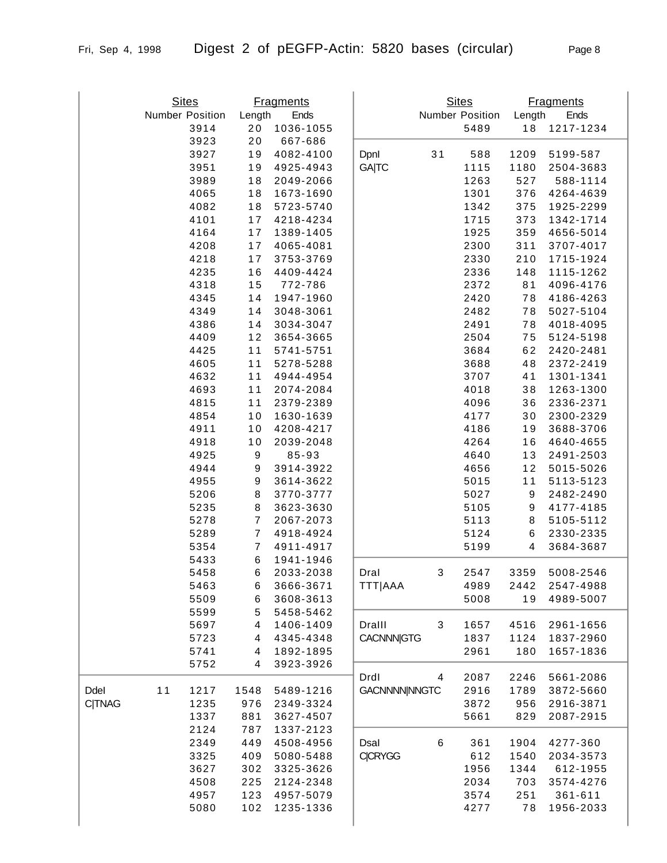|               | <b>Sites</b>    |              |                     | <b>Fragments</b>       |                     |    | <b>Sites</b>    |                  | <b>Fragments</b>       |
|---------------|-----------------|--------------|---------------------|------------------------|---------------------|----|-----------------|------------------|------------------------|
|               | Number Position |              | Length              | Ends                   |                     |    | Number Position | Length           | Ends<br>1217-1234      |
|               |                 | 3914<br>3923 | 20<br>20            | 1036-1055<br>667-686   |                     |    | 5489            | 18               |                        |
|               |                 | 3927         | 19                  | 4082-4100              | Dpnl                | 31 | 588             | 1209             | 5199-587               |
|               |                 | 3951         | 19                  | 4925-4943              | <b>GA TC</b>        |    | 1115            | 1180             | 2504-3683              |
|               |                 | 3989         | 18                  | 2049-2066              |                     |    | 1263            | 527              | 588-1114               |
|               |                 | 4065         | 18                  | 1673-1690              |                     |    | 1301            | 376              | 4264-4639              |
|               |                 | 4082         | 18                  | 5723-5740              |                     |    | 1342            | 375              | 1925-2299              |
|               |                 | 4101         | 17                  | 4218-4234              |                     |    | 1715            | 373              | 1342-1714              |
|               |                 | 4164         | 17                  | 1389-1405              |                     |    | 1925            | 359              | 4656-5014              |
|               |                 | 4208         | 17                  | 4065-4081              |                     |    | 2300            | 311              | 3707-4017              |
|               |                 | 4218         | $17$                | 3753-3769              |                     |    | 2330            | 210              | 1715-1924              |
|               |                 | 4235         | 16                  | 4409-4424              |                     |    | 2336            | 148              | 1115-1262              |
|               |                 | 4318         | 15                  | 772-786                |                     |    | 2372            | 81               | 4096-4176              |
|               |                 | 4345         | 14                  | 1947-1960              |                     |    | 2420            | 78               | 4186-4263              |
|               |                 | 4349         | 14                  | 3048-3061              |                     |    | 2482            | 78               | 5027-5104              |
|               |                 | 4386         | 14                  | 3034-3047              |                     |    | 2491            | 78               | 4018-4095              |
|               |                 | 4409         | 12                  | 3654-3665              |                     |    | 2504            | 75               | 5124-5198              |
|               |                 | 4425         | 11                  | 5741-5751              |                     |    | 3684            | 62               | 2420-2481              |
|               |                 | 4605         | 11                  | 5278-5288              |                     |    | 3688            | 48               | 2372-2419              |
|               |                 | 4632         | 11                  | 4944-4954              |                     |    | 3707            | 41               | 1301-1341              |
|               |                 | 4693         | 11                  | 2074-2084              |                     |    | 4018            | 38               | 1263-1300              |
|               |                 | 4815         | 11                  | 2379-2389              |                     |    | 4096            | 36               | 2336-2371              |
|               |                 | 4854         | 10                  | 1630-1639              |                     |    | 4177            | 30               | 2300-2329              |
|               |                 | 4911         | 10                  | 4208-4217              |                     |    | 4186            | 19               | 3688-3706              |
|               |                 | 4918         | 10                  | 2039-2048              |                     |    | 4264            | 16               | 4640-4655              |
|               |                 | 4925         | $\boldsymbol{9}$    | 85-93                  |                     |    | 4640            | 13               | 2491-2503              |
|               |                 | 4944         | 9                   | 3914-3922              |                     |    | 4656            | 12               | 5015-5026              |
|               |                 | 4955         | 9                   | 3614-3622              |                     |    | 5015            | 11               | 5113-5123              |
|               |                 | 5206         | 8                   | 3770-3777              |                     |    | 5027            | 9                | 2482-2490              |
|               |                 | 5235         | 8                   | 3623-3630              |                     |    | 5105            | $\boldsymbol{9}$ | 4177-4185              |
|               |                 | 5278         | $\boldsymbol{7}$    | 2067-2073              |                     |    | 5113            | 8                | 5105-5112              |
|               |                 | 5289<br>5354 | $\overline{7}$<br>7 | 4918-4924<br>4911-4917 |                     |    | 5124<br>5199    | $\,6$<br>4       | 2330-2335<br>3684-3687 |
|               |                 | 5433         | 6                   | 1941-1946              |                     |    |                 |                  |                        |
|               |                 | 5458         | 6                   | 2033-2038              | Dral                | 3  | 2547            | 3359             | 5008-2546              |
|               |                 | 5463         | 6                   | 3666-3671              | <b>TTT AAA</b>      |    | 4989            | 2442             | 2547-4988              |
|               |                 | 5509         | 6                   | 3608-3613              |                     |    | 5008            | 19               | 4989-5007              |
|               |                 | 5599         | 5                   | 5458-5462              |                     |    |                 |                  |                        |
|               |                 | 5697         | 4                   | 1406-1409              | Dralll              | 3  | 1657            | 4516             | 2961-1656              |
|               |                 | 5723         | 4                   | 4345-4348              | <b>CACNNN</b> GTG   |    | 1837            | 1124             | 1837-2960              |
|               |                 | 5741         | 4                   | 1892-1895              |                     |    | 2961            | 180              | 1657-1836              |
|               |                 | 5752         | 4                   | 3923-3926              |                     |    |                 |                  |                        |
|               |                 |              |                     |                        | Drdl                | 4  | 2087            | 2246             | 5661-2086              |
| Ddel          | 11              | 1217         | 1548                | 5489-1216              | <b>GACNNNNNNGTC</b> |    | 2916            | 1789             | 3872-5660              |
| <b>C TNAG</b> |                 | 1235         | 976                 | 2349-3324              |                     |    | 3872            | 956              | 2916-3871              |
|               |                 | 1337         | 881                 | 3627-4507              |                     |    | 5661            | 829              | 2087-2915              |
|               |                 | 2124         | 787                 | 1337-2123              |                     |    |                 |                  |                        |
|               |                 | 2349         | 449                 | 4508-4956              | Dsal                | 6  | 361             | 1904             | 4277-360               |
|               |                 | 3325         | 409                 | 5080-5488              | <b>C CRYGG</b>      |    | 612             | 1540             | 2034-3573              |
|               |                 | 3627         | 302                 | 3325-3626              |                     |    | 1956            | 1344             | 612-1955               |
|               |                 | 4508         | 225                 | 2124-2348              |                     |    | 2034            | 703              | 3574-4276              |
|               |                 | 4957         | 123                 | 4957-5079              |                     |    | 3574            | 251              | 361-611                |
|               |                 | 5080         | 102                 | 1235-1336              |                     |    | 4277            | 78               | 1956-2033              |
|               |                 |              |                     |                        |                     |    |                 |                  |                        |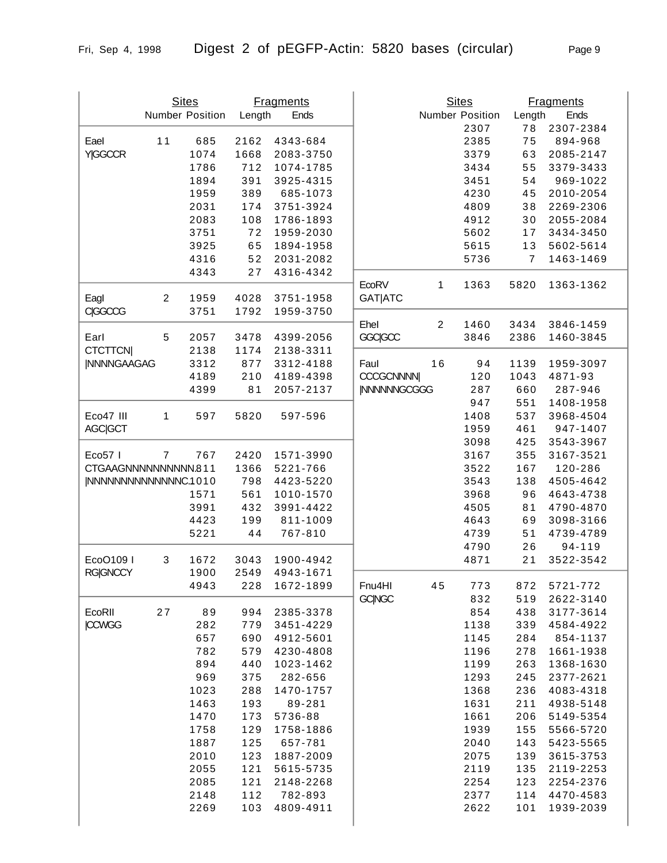|                       |                | <b>Sites</b>    |        | <b>Fragments</b> |                     |                | <b>Sites</b>    |                | <b>Fragments</b> |
|-----------------------|----------------|-----------------|--------|------------------|---------------------|----------------|-----------------|----------------|------------------|
|                       |                | Number Position | Length | Ends             |                     |                | Number Position | Length         | Ends             |
|                       |                |                 |        |                  |                     |                | 2307            | 78             | 2307-2384        |
| Eael                  | 11             | 685             | 2162   | 4343-684         |                     |                | 2385            | 75             | 894-968          |
| <b>Y GGCCR</b>        |                | 1074            | 1668   | 2083-3750        |                     |                | 3379            | 63             | 2085-2147        |
|                       |                | 1786            | 712    | 1074-1785        |                     |                | 3434            | 55             | 3379-3433        |
|                       |                | 1894            | 391    | 3925-4315        |                     |                | 3451            | 54             | 969-1022         |
|                       |                | 1959            | 389    | 685-1073         |                     |                | 4230            | 45             | 2010-2054        |
|                       |                | 2031            | 174    | 3751-3924        |                     |                | 4809            | 38             | 2269-2306        |
|                       |                | 2083            | 108    | 1786-1893        |                     |                | 4912            | 30             | 2055-2084        |
|                       |                | 3751            | 72     | 1959-2030        |                     |                | 5602            | 17             | 3434-3450        |
|                       |                | 3925            |        | 1894-1958        |                     |                | 5615            | 13             | 5602-5614        |
|                       |                |                 | 65     |                  |                     |                |                 |                |                  |
|                       |                | 4316            | 52     | 2031-2082        |                     |                | 5736            | $\overline{7}$ | 1463-1469        |
|                       |                | 4343            | 27     | 4316-4342        | EcoRV               | 1              | 1363            | 5820           | 1363-1362        |
| Eagl                  | $\overline{c}$ | 1959            | 4028   | 3751-1958        | <b>GAT ATC</b>      |                |                 |                |                  |
| CIGGCCG               |                | 3751            | 1792   | 1959-3750        |                     |                |                 |                |                  |
|                       |                |                 |        |                  | Ehel                | $\overline{2}$ | 1460            | 3434           | 3846-1459        |
| Earl                  | 5              | 2057            | 3478   | 4399-2056        | <b>GGC/GCC</b>      |                | 3846            | 2386           | 1460-3845        |
| <b>CTCTTCNI</b>       |                | 2138            | 1174   | 2138-3311        |                     |                |                 |                |                  |
| <b>INNNNGAAGAG</b>    |                |                 |        |                  |                     |                |                 |                |                  |
|                       |                | 3312            | 877    | 3312-4188        | Faul                | 16             | 94              | 1139           | 1959-3097        |
|                       |                | 4189            | 210    | 4189-4398        | <b>CCCGCNNNN</b>    |                | 120             | 1043           | 4871-93          |
|                       |                | 4399            | 81     | 2057-2137        | <b>INNNNNNGCGGG</b> |                | 287             | 660            | 287-946          |
|                       |                |                 |        |                  |                     |                | 947             | 551            | 1408-1958        |
| Eco47 III             | 1              | 597             | 5820   | 597-596          |                     |                | 1408            | 537            | 3968-4504        |
| AGC GCT               |                |                 |        |                  |                     |                | 1959            | 461            | 947-1407         |
|                       |                |                 |        |                  |                     |                | 3098            | 425            | 3543-3967        |
| Eco57                 | $\overline{7}$ | 767             | 2420   | 1571-3990        |                     |                | 3167            | 355            | 3167-3521        |
| CTGAAGNNNNNNNNNN.811  |                |                 | 1366   | 5221-766         |                     |                | 3522            | 167            | 120-286          |
| INNNNNNNNNNNNNNC.1010 |                |                 | 798    | 4423-5220        |                     |                | 3543            | 138            | 4505-4642        |
|                       |                | 1571            | 561    | 1010-1570        |                     |                | 3968            | 96             | 4643-4738        |
|                       |                | 3991            | 432    | 3991-4422        |                     |                | 4505            | 81             | 4790-4870        |
|                       |                | 4423            | 199    | 811-1009         |                     |                | 4643            | 69             | 3098-3166        |
|                       |                | 5221            | 44     | 767-810          |                     |                | 4739            | 51             | 4739-4789        |
|                       |                |                 |        |                  |                     |                | 4790            | 26             | 94-119           |
| EcoO109 I             | 3              | 1672            | 3043   | 1900-4942        |                     |                | 4871            | 21             | 3522-3542        |
| <b>RG GNCCY</b>       |                | 1900            | 2549   | 4943-1671        |                     |                |                 |                |                  |
|                       |                | 4943            | 228    | 1672-1899        | Fnu4HI              | 45             | 773             | 872            | 5721-772         |
|                       |                |                 |        |                  | <b>GC NGC</b>       |                | 832             | 519            | 2622-3140        |
| EcoRII                | 27             | 89              | 994    | 2385-3378        |                     |                | 854             | 438            | 3177-3614        |
| <b>CCWGG</b>          |                | 282             | 779    | 3451-4229        |                     |                | 1138            | 339            | 4584-4922        |
|                       |                | 657             | 690    | 4912-5601        |                     |                | 1145            | 284            | 854-1137         |
|                       |                | 782             | 579    | 4230-4808        |                     |                | 1196            | 278            | 1661-1938        |
|                       |                | 894             | 440    | 1023-1462        |                     |                | 1199            | 263            | 1368-1630        |
|                       |                | 969             | 375    | 282-656          |                     |                | 1293            | 245            | 2377-2621        |
|                       |                | 1023            | 288    | 1470-1757        |                     |                | 1368            | 236            | 4083-4318        |
|                       |                | 1463            | 193    | 89-281           |                     |                | 1631            | 211            | 4938-5148        |
|                       |                | 1470            | 173    | 5736-88          |                     |                | 1661            | 206            | 5149-5354        |
|                       |                |                 |        |                  |                     |                |                 |                |                  |
|                       |                | 1758            | 129    | 1758-1886        |                     |                | 1939            | 155            | 5566-5720        |
|                       |                | 1887            | 125    | 657-781          |                     |                | 2040            | 143            | 5423-5565        |
|                       |                | 2010            | 123    | 1887-2009        |                     |                | 2075            | 139            | 3615-3753        |
|                       |                | 2055            | 121    | 5615-5735        |                     |                | 2119            | 135            | 2119-2253        |
|                       |                | 2085            | 121    | 2148-2268        |                     |                | 2254            | 123            | 2254-2376        |

2148 112 782-893 2269 103 4809-4911

2254 123 2254-2376 2377 114 4470-4583 2622 101 1939-2039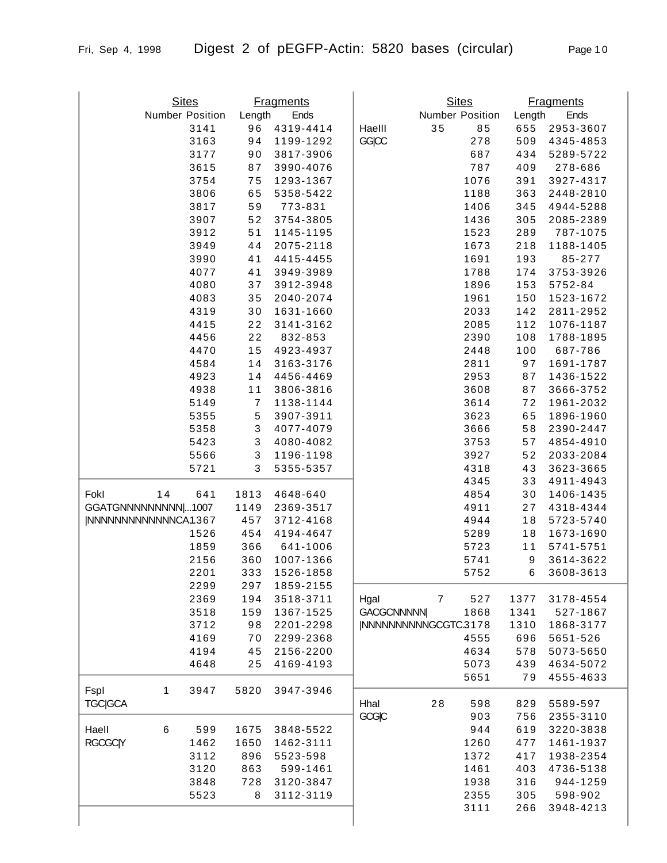| $^{\prime}$ | , ago i i      |  |
|-------------|----------------|--|
|             |                |  |
|             |                |  |
|             |                |  |
|             | <b>College</b> |  |

|                        |       | <b>Sites</b>    |                | <b>Fragments</b>       |                     |                | <b>Sites</b>           |                  | <b>Fragments</b>       |
|------------------------|-------|-----------------|----------------|------------------------|---------------------|----------------|------------------------|------------------|------------------------|
|                        |       | Number Position | Length         | Ends                   |                     |                | <b>Number Position</b> | Length           | Ends                   |
|                        |       | 3141            | 96             | 4319-4414              | Haelll              | 35             | 85                     | 655              | 2953-3607              |
|                        |       | 3163            | 94             | 1199-1292              | GGICC               |                | 278                    | 509              | 4345-4853              |
|                        |       | 3177            | 90             | 3817-3906              |                     |                | 687                    | 434              | 5289-5722              |
|                        |       | 3615            | 87             | 3990-4076              |                     |                | 787                    | 409              | 278-686                |
|                        |       | 3754            | 75             | 1293-1367              |                     |                | 1076                   | 391              | 3927-4317              |
|                        |       | 3806            | 65             | 5358-5422              |                     |                | 1188                   | 363              | 2448-2810              |
|                        |       | 3817            | 59             | 773-831                |                     |                | 1406                   | 345              | 4944-5288              |
|                        |       | 3907            | 52             | 3754-3805              |                     |                | 1436                   | 305              | 2085-2389              |
|                        |       | 3912            | 51             | 1145-1195              |                     |                | 1523                   | 289              | 787-1075               |
|                        |       | 3949            | 44             | 2075-2118              |                     |                | 1673                   | 218              | 1188-1405              |
|                        |       | 3990            | 41             | 4415-4455              |                     |                | 1691                   | 193              | 85-277                 |
|                        |       | 4077            | 41             | 3949-3989              |                     |                | 1788                   | 174              | 3753-3926              |
|                        |       | 4080            | 37             | 3912-3948              |                     |                | 1896                   | 153              | 5752-84                |
|                        |       | 4083            | 35             | 2040-2074              |                     |                | 1961                   | 150              | 1523-1672              |
|                        |       | 4319            | 30             | 1631-1660              |                     |                | 2033                   | 142              | 2811-2952              |
|                        |       | 4415            | 22             | 3141-3162              |                     |                | 2085                   | 112              | 1076-1187              |
|                        |       | 4456            | 22             | 832-853                |                     |                | 2390                   | 108              | 1788-1895              |
|                        |       | 4470            | 15             | 4923-4937              |                     |                | 2448                   | 100              | 687-786                |
|                        |       | 4584            | 14             | 3163-3176              |                     |                | 2811                   | 97               | 1691-1787              |
|                        |       | 4923            | 14             | 4456-4469              |                     |                | 2953                   | 87               | 1436-1522              |
|                        |       | 4938            | 11             | 3806-3816              |                     |                | 3608                   | 87               | 3666-3752              |
|                        |       | 5149            | $\overline{7}$ | 1138-1144              |                     |                | 3614                   | 72               | 1961-2032              |
|                        |       | 5355            | 5              | 3907-3911              |                     |                | 3623                   | 65               | 1896-1960              |
|                        |       | 5358            | $\sqrt{3}$     | 4077-4079              |                     |                | 3666                   | 58               | 2390-2447              |
|                        |       | 5423            | $\sqrt{3}$     | 4080-4082              |                     |                | 3753                   | 57               | 4854-4910              |
|                        |       | 5566            | $\sqrt{3}$     | 1196-1198              |                     |                | 3927                   | 52               | 2033-2084              |
|                        |       | 5721            | $\mathbf{3}$   | 5355-5357              |                     |                | 4318                   | 43               | 3623-3665              |
|                        |       |                 |                |                        |                     |                | 4345                   | 33               | 4911-4943              |
| Fokl                   | 14    | 641             | 1813           | 4648-640               |                     |                | 4854                   | 30               | 1406-1435              |
| GGATGNNNNNNNNNN  1007  |       |                 | 1149           | 2369-3517              |                     |                | 4911                   | 27               | 4318-4344              |
| INNNNNNNNNNNNNCA.1.367 |       | 1526            | 457<br>454     | 3712-4168<br>4194-4647 |                     |                | 4944<br>5289           | 18<br>18         | 5723-5740<br>1673-1690 |
|                        |       |                 | 366            | 641-1006               |                     |                | 5723                   | 11               | 5741-5751              |
|                        |       | 1859<br>2156    | 360            | 1007-1366              |                     |                | 5741                   | $\boldsymbol{9}$ | 3614-3622              |
|                        |       | 2201            | 333            | 1526-1858              |                     |                | 5752                   | 6                | 3608-3613              |
|                        |       | 2299            | 297            | 1859-2155              |                     |                |                        |                  |                        |
|                        |       | 2369            | 194            | 3518-3711              | Hgal                | $\overline{7}$ | 527                    | 1377             | 3178-4554              |
|                        |       | 3518            | 159            | 1367-1525              | <b>GACGCNNNNNI</b>  |                | 1868                   | 1341             | 527-1867               |
|                        |       | 3712            | 98             | 2201-2298              | INNNNNNNNNGCGTC3178 |                |                        | 1310             | 1868-3177              |
|                        |       | 4169            | 70             | 2299-2368              |                     |                | 4555                   | 696              | 5651-526               |
|                        |       | 4194            | 45             | 2156-2200              |                     |                | 4634                   | 578              | 5073-5650              |
|                        |       | 4648            | 25             | 4169-4193              |                     |                | 5073                   | 439              | 4634-5072              |
|                        |       |                 |                |                        |                     |                | 5651                   | 79               | 4555-4633              |
| Fspl                   | 1     | 3947            | 5820           | 3947-3946              |                     |                |                        |                  |                        |
| <b>TGC GCA</b>         |       |                 |                |                        | Hhal                | 28             | 598                    | 829              | 5589-597               |
|                        |       |                 |                |                        | GCGIC               |                | 903                    | 756              | 2355-3110              |
| Haell                  | $\,6$ | 599             | 1675           | 3848-5522              |                     |                | 944                    | 619              | 3220-3838              |
| <b>RGCGC Y</b>         |       | 1462            | 1650           | 1462-3111              |                     |                | 1260                   | 477              | 1461-1937              |
|                        |       | 3112            | 896            | 5523-598               |                     |                | 1372                   | 417              | 1938-2354              |
|                        |       | 3120            | 863            | 599-1461               |                     |                | 1461                   | 403              | 4736-5138              |
|                        |       | 3848            | 728            | 3120-3847              |                     |                | 1938                   | 316              | 944-1259               |
|                        |       | 5523            | 8              | 3112-3119              |                     |                | 2355                   | 305              | 598-902                |
|                        |       |                 |                |                        |                     |                | 3111                   | 266              | 3948-4213              |
|                        |       |                 |                |                        |                     |                |                        |                  |                        |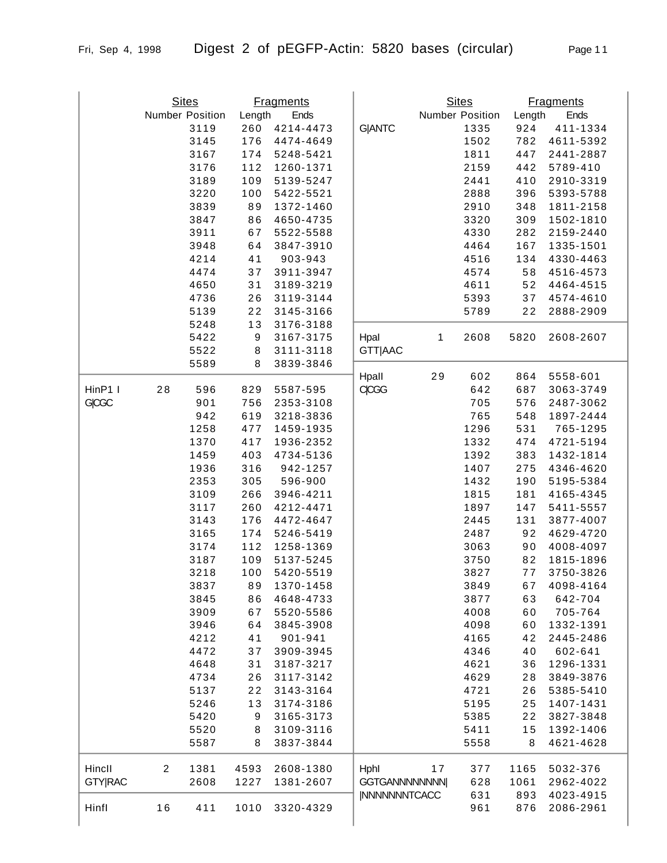|              | <b>Sites</b>    |        | <b>Fragments</b> |                | <b>Sites</b>    |      |        | <b>Fragments</b> |
|--------------|-----------------|--------|------------------|----------------|-----------------|------|--------|------------------|
|              | Number Position | Length | Ends             |                | Number Position |      | Length | Ends             |
|              | 3119            | 260    | 4214-4473        | <b>G ANTC</b>  |                 | 1335 | 924    | 411-1334         |
|              | 3145            | 176    | 4474-4649        |                |                 | 1502 | 782    | 4611-5392        |
|              | 3167            | 174    | 5248-5421        |                |                 | 1811 | 447    | 2441-2887        |
|              | 3176            | 112    | 1260-1371        |                |                 | 2159 | 442    | 5789-410         |
|              | 3189            | 109    | 5139-5247        |                |                 | 2441 | 410    | 2910-3319        |
|              | 3220            | 100    | 5422-5521        |                |                 | 2888 | 396    | 5393-5788        |
|              | 3839            | 89     | 1372-1460        |                |                 | 2910 | 348    | 1811-2158        |
|              | 3847            | 86     | 4650-4735        |                |                 | 3320 | 309    | 1502-1810        |
|              | 3911            | 67     | 5522-5588        |                |                 | 4330 | 282    | 2159-2440        |
|              | 3948            | 64     | 3847-3910        |                |                 | 4464 | 167    | 1335-1501        |
|              | 4214            | 41     | 903-943          |                |                 | 4516 | 134    | 4330-4463        |
|              | 4474            | 37     | 3911-3947        |                |                 | 4574 | 58     | 4516-4573        |
|              | 4650            | 31     | 3189-3219        |                |                 | 4611 | 52     | 4464-4515        |
|              | 4736            | 26     | 3119-3144        |                |                 | 5393 | 37     | 4574-4610        |
|              | 5139            | 22     | 3145-3166        |                |                 | 5789 | 22     | 2888-2909        |
|              | 5248            | 13     | 3176-3188        |                |                 |      |        |                  |
|              | 5422            | 9      | 3167-3175        | Hpal           | $\mathbf 1$     | 2608 | 5820   | 2608-2607        |
|              | 5522            | 8      | 3111-3118        | <b>GTT AAC</b> |                 |      |        |                  |
|              | 5589            | 8      | 3839-3846        |                |                 |      |        |                  |
|              |                 |        |                  | Hpall          | 29              | 602  | 864    | 5558-601         |
| HinP1 I      | 28<br>596       | 829    | 5587-595         | <b>CICGG</b>   |                 | 642  | 687    | 3063-3749        |
| <b>GICGC</b> | 901             | 756    | 2353-3108        |                |                 | 705  | 576    | 2487-3062        |
|              | 942             | 619    | 3218-3836        |                |                 | 765  | 548    | 1897-2444        |
|              | 1258            | 477    | 1459-1935        |                |                 | 1296 | 531    | 765-1295         |
|              | 1370            | 417    | 1936-2352        |                |                 | 1332 | 474    | 4721-5194        |
|              | 1459            | 403    | 4734-5136        |                |                 | 1392 | 383    | 1432-1814        |
|              | 1936            | 316    | 942-1257         |                |                 | 1407 | 275    | 4346-4620        |
|              | 2353            | 305    | 596-900          |                |                 | 1432 | 190    | 5195-5384        |
|              | 3109            | 266    | 3946-4211        |                |                 | 1815 | 181    | 4165-4345        |
|              | 3117            | 260    | 4212-4471        |                |                 | 1897 | 147    | 5411-5557        |
|              | 3143            | 176    | 4472-4647        |                |                 | 2445 | 131    | 3877-4007        |
|              | 3165            | 174    | 5246-5419        |                |                 | 2487 | 92     | 4629-4720        |
|              | 3174            | 112    | 1258-1369        |                |                 | 3063 | 90     | 4008-4097        |
|              | 3187            | 109    | 5137-5245        |                |                 | 3750 | 82     | 1815-1896        |
|              | 3218            | 100    | 5420-5519        |                |                 | 3827 | 77     | 3750-3826        |
|              |                 |        |                  |                |                 |      |        |                  |

|                |                | 942  | 619  | 3218-3836 |                      | 765  | 548  | 1897-2444 |
|----------------|----------------|------|------|-----------|----------------------|------|------|-----------|
|                |                | 1258 | 477  | 1459-1935 |                      | 1296 | 531  | 765-1295  |
|                |                | 1370 | 417  | 1936-2352 |                      | 1332 | 474  | 4721-5194 |
|                |                | 1459 | 403  | 4734-5136 |                      | 1392 | 383  | 1432-1814 |
|                |                | 1936 | 316  | 942-1257  |                      | 1407 | 275  | 4346-4620 |
|                |                | 2353 | 305  | 596-900   |                      | 1432 | 190  | 5195-5384 |
|                |                | 3109 | 266  | 3946-4211 |                      | 1815 | 181  | 4165-4345 |
|                |                | 3117 | 260  | 4212-4471 |                      | 1897 | 147  | 5411-5557 |
|                |                | 3143 | 176  | 4472-4647 |                      | 2445 | 131  | 3877-4007 |
|                |                | 3165 | 174  | 5246-5419 |                      | 2487 | 92   | 4629-4720 |
|                |                | 3174 | 112  | 1258-1369 |                      | 3063 | 90   | 4008-4097 |
|                |                | 3187 | 109  | 5137-5245 |                      | 3750 | 82   | 1815-1896 |
|                |                | 3218 | 100  | 5420-5519 |                      | 3827 | 77   | 3750-3826 |
|                |                | 3837 | 89   | 1370-1458 |                      | 3849 | 67   | 4098-4164 |
|                |                | 3845 | 86   | 4648-4733 |                      | 3877 | 63   | 642-704   |
|                |                | 3909 | 67   | 5520-5586 |                      | 4008 | 60   | 705-764   |
|                |                | 3946 | 64   | 3845-3908 |                      | 4098 | 60   | 1332-1391 |
|                |                | 4212 | 41   | 901-941   |                      | 4165 | 42   | 2445-2486 |
|                |                | 4472 | 37   | 3909-3945 |                      | 4346 | 40   | 602-641   |
|                |                | 4648 | 31   | 3187-3217 |                      | 4621 | 36   | 1296-1331 |
|                |                | 4734 | 26   | 3117-3142 |                      | 4629 | 28   | 3849-3876 |
|                |                | 5137 | 22   | 3143-3164 |                      | 4721 | 26   | 5385-5410 |
|                |                | 5246 | 13   | 3174-3186 |                      | 5195 | 25   | 1407-1431 |
|                |                | 5420 | 9    | 3165-3173 |                      | 5385 | 22   | 3827-3848 |
|                |                | 5520 | 8    | 3109-3116 |                      | 5411 | 15   | 1392-1406 |
|                |                | 5587 | 8    | 3837-3844 |                      | 5558 | 8    | 4621-4628 |
| Hincll         | $\overline{2}$ | 1381 | 4593 | 2608-1380 | Hphl<br>17           | 377  | 1165 | 5032-376  |
| <b>GTY RAC</b> |                | 2608 | 1227 | 1381-2607 | <b>GGTGANNNNNNNN</b> | 628  | 1061 | 2962-4022 |
|                |                |      |      |           | <b>INNNNNNNTCACC</b> | 631  | 893  | 4023-4915 |
| Hinfl          | 16             | 411  | 1010 | 3320-4329 |                      | 961  | 876  | 2086-2961 |
|                |                |      |      |           |                      |      |      |           |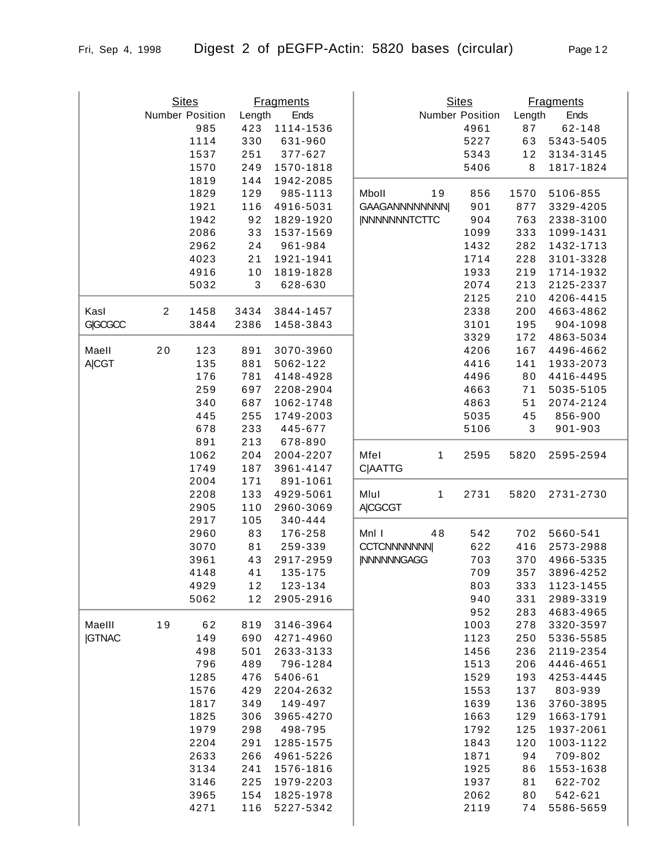|                |                | <b>Sites</b>    |                           | <b>Fragments</b>      |                      |    | <b>Sites</b>    |        | <b>Fragments</b> |
|----------------|----------------|-----------------|---------------------------|-----------------------|----------------------|----|-----------------|--------|------------------|
|                |                | Number Position | Length                    | Ends                  |                      |    | Number Position | Length | Ends             |
|                |                | 985             | 423                       | 1114-1536             |                      |    | 4961            | 87     | $62 - 148$       |
|                |                | 1114            | 330                       | 631-960               |                      |    | 5227            | 63     | 5343-5405        |
|                |                | 1537            | 251                       | 377-627               |                      |    | 5343            | 12     | 3134-3145        |
|                |                | 1570            | 249                       | 1570-1818             |                      |    | 5406            | 8      | 1817-1824        |
|                |                | 1819<br>1829    | 144<br>129                | 1942-2085<br>985-1113 | Mboll                | 19 | 856             | 1570   | 5106-855         |
|                |                | 1921            | 116                       | 4916-5031             | GAAGANNNNNNNN        |    | 901             | 877    | 3329-4205        |
|                |                | 1942            | 92                        | 1829-1920             | <b>INNNNNNNTCTTC</b> |    | 904             | 763    | 2338-3100        |
|                |                | 2086            | 33                        |                       |                      |    | 1099            | 333    | 1099-1431        |
|                |                | 2962            | 24                        | 1537-1569<br>961-984  |                      |    | 1432            | 282    | 1432-1713        |
|                |                | 4023            | 21                        | 1921-1941             |                      |    | 1714            | 228    | 3101-3328        |
|                |                | 4916            | 10                        | 1819-1828             |                      |    | 1933            | 219    | 1714-1932        |
|                |                | 5032            | $\ensuremath{\mathsf{3}}$ | 628-630               |                      |    | 2074            | 213    | 2125-2337        |
|                |                |                 |                           |                       |                      |    | 2125            | 210    | 4206-4415        |
| Kasl           | $\overline{2}$ | 1458            | 3434                      | 3844-1457             |                      |    | 2338            | 200    | 4663-4862        |
| <b>GIGCGCC</b> |                | 3844            | 2386                      | 1458-3843             |                      |    | 3101            | 195    | 904-1098         |
|                |                |                 |                           |                       |                      |    | 3329            | 172    | 4863-5034        |
| Maell          | 20             | 123             | 891                       | 3070-3960             |                      |    | 4206            | 167    | 4496-4662        |
| <b>A CGT</b>   |                | 135             | 881                       | 5062-122              |                      |    | 4416            | 141    | 1933-2073        |
|                |                | 176             | 781                       | 4148-4928             |                      |    | 4496            | 80     | 4416-4495        |
|                |                | 259             | 697                       | 2208-2904             |                      |    | 4663            | 71     | 5035-5105        |
|                |                | 340             | 687                       | 1062-1748             |                      |    | 4863            | 51     | 2074-2124        |
|                |                | 445             | 255                       | 1749-2003             |                      |    | 5035            | 45     | 856-900          |
|                |                | 678             | 233                       | 445-677               |                      |    | 5106            | 3      | 901-903          |
|                |                | 891             | 213                       | 678-890               |                      |    |                 |        |                  |
|                |                | 1062            | 204                       | 2004-2207             | Mfel                 | 1  | 2595            | 5820   | 2595-2594        |
|                |                | 1749            | 187                       | 3961-4147             | <b>C AATTG</b>       |    |                 |        |                  |
|                |                | 2004            | 171                       | 891-1061              |                      |    |                 |        |                  |
|                |                | 2208            | 133                       | 4929-5061             | Mlul                 | 1  | 2731            | 5820   | 2731-2730        |
|                |                | 2905            | 110                       | 2960-3069             | <b>A CGCGT</b>       |    |                 |        |                  |
|                |                | 2917            | 105                       | 340-444               |                      |    |                 |        |                  |
|                |                | 2960            | 83                        | 176-258               | Mnl I                | 48 | 542             | 702    | 5660-541         |
|                |                | 3070            | 81                        | 259-339               | <b>CCTCNNNNNNN</b>   |    | 622             | 416    | 2573-2988        |
|                |                | 3961            | 43                        | 2917-2959             | <b>INNNNNNGAGG</b>   |    | 703             | 370    | 4966-5335        |
|                |                | 4148            | 41                        | 135-175               |                      |    | 709             | 357    | 3896-4252        |
|                |                | 4929            | 12                        | 123-134               |                      |    | 803             | 333    | 1123-1455        |
|                |                | 5062            | 12                        | 2905-2916             |                      |    | 940             | 331    | 2989-3319        |
|                |                |                 |                           |                       |                      |    | 952             | 283    | 4683-4965        |
| Maelll         | 19             | 62              | 819                       | 3146-3964             |                      |    | 1003            | 278    | 3320-3597        |
| <b>IGTNAC</b>  |                | 149             | 690                       | 4271-4960             |                      |    | 1123            | 250    | 5336-5585        |
|                |                | 498             | 501                       | 2633-3133             |                      |    | 1456            | 236    | 2119-2354        |
|                |                | 796             | 489                       | 796-1284              |                      |    | 1513            | 206    | 4446-4651        |
|                |                | 1285            | 476                       | 5406-61               |                      |    | 1529            | 193    | 4253-4445        |
|                |                | 1576            | 429                       | 2204-2632             |                      |    | 1553            | 137    | 803-939          |
|                |                | 1817            | 349                       | 149-497               |                      |    | 1639            | 136    | 3760-3895        |
|                |                | 1825            | 306                       | 3965-4270             |                      |    | 1663            | 129    | 1663-1791        |
|                |                | 1979            | 298                       | 498-795               |                      |    | 1792            | 125    | 1937-2061        |
|                |                | 2204            | 291                       | 1285-1575             |                      |    | 1843            | 120    | 1003-1122        |
|                |                | 2633            | 266                       | 4961-5226             |                      |    | 1871            | 94     | 709-802          |
|                |                | 3134            | 241                       | 1576-1816             |                      |    | 1925            | 86     | 1553-1638        |
|                |                | 3146            | 225                       | 1979-2203             |                      |    | 1937            | 81     | 622-702          |
|                |                | 3965            | 154                       | 1825-1978             |                      |    | 2062            | 80     | 542-621          |
|                |                | 4271            | 116                       | 5227-5342             |                      |    | 2119            | 74     | 5586-5659        |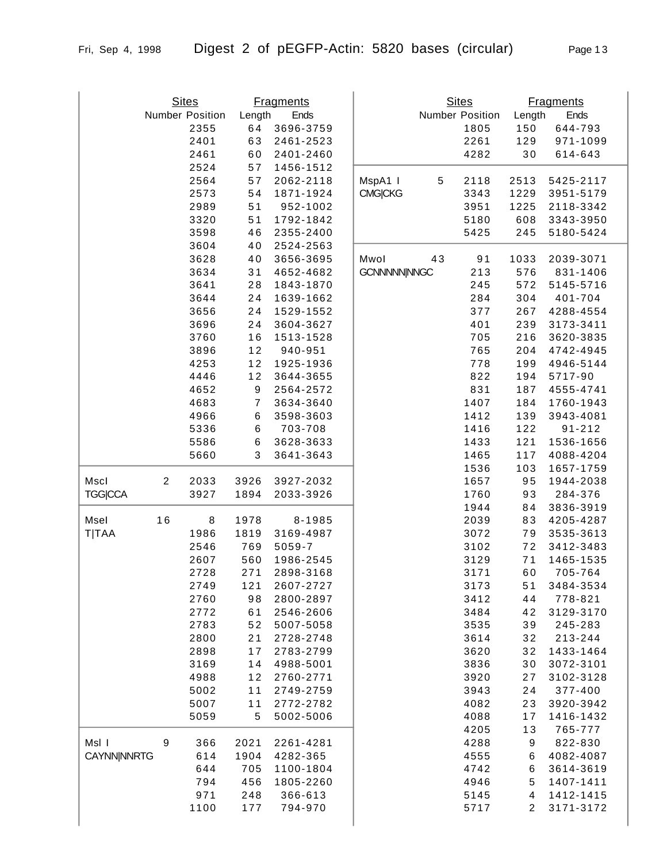|                    |                  | <b>Sites</b>    |                  | <b>Fragments</b> |                    |            | <b>Sites</b>    |                | <b>Fragments</b> |
|--------------------|------------------|-----------------|------------------|------------------|--------------------|------------|-----------------|----------------|------------------|
|                    |                  | Number Position | Length           | Ends             |                    |            | Number Position | Length         | Ends             |
|                    |                  | 2355            | 64               | 3696-3759        |                    |            | 1805            | 150            | 644-793          |
|                    |                  | 2401            | 63               | 2461-2523        |                    |            | 2261            | 129            | 971-1099         |
|                    |                  | 2461            | 60               | 2401-2460        |                    |            | 4282            | 30             | 614-643          |
|                    |                  | 2524            | 57               | 1456-1512        |                    |            |                 |                |                  |
|                    |                  | 2564            | 57               | 2062-2118        | MspA1 I            | $\sqrt{5}$ | 2118            | 2513           | 5425-2117        |
|                    |                  | 2573            | 54               | 1871-1924        | <b>CMG CKG</b>     |            | 3343            | 1229           | 3951-5179        |
|                    |                  | 2989            | 51               | 952-1002         |                    |            | 3951            | 1225           | 2118-3342        |
|                    |                  | 3320            | 51               | 1792-1842        |                    |            | 5180            | 608            | 3343-3950        |
|                    |                  | 3598            | 46               | 2355-2400        |                    |            | 5425            | 245            | 5180-5424        |
|                    |                  | 3604            | 40               | 2524-2563        |                    |            |                 |                |                  |
|                    |                  | 3628            | 40               | 3656-3695        | Mwol               | 43         | 91              | 1033           | 2039-3071        |
|                    |                  | 3634            | 31               | 4652-4682        | <b>GCNNNNNNNGC</b> |            | 213             | 576            | 831-1406         |
|                    |                  | 3641            | 28               | 1843-1870        |                    |            | 245             | 572            | 5145-5716        |
|                    |                  | 3644            | 24               | 1639-1662        |                    |            | 284             | 304            | 401-704          |
|                    |                  | 3656            | 24               | 1529-1552        |                    |            | 377             | 267            | 4288-4554        |
|                    |                  | 3696            | 24               | 3604-3627        |                    |            | 401             | 239            | 3173-3411        |
|                    |                  | 3760            | 16               | 1513-1528        |                    |            | 705             | 216            | 3620-3835        |
|                    |                  | 3896            | 12               | 940-951          |                    |            | 765             | 204            | 4742-4945        |
|                    |                  | 4253            | 12               | 1925-1936        |                    |            | 778             | 199            | 4946-5144        |
|                    |                  | 4446            | 12               | 3644-3655        |                    |            | 822             | 194            | 5717-90          |
|                    |                  | 4652            | 9                | 2564-2572        |                    |            | 831             | 187            | 4555-4741        |
|                    |                  | 4683            | $\boldsymbol{7}$ | 3634-3640        |                    |            | 1407            | 184            | 1760-1943        |
|                    |                  | 4966            | 6                | 3598-3603        |                    |            | 1412            | 139            | 3943-4081        |
|                    |                  | 5336            | $\,6$            | 703-708          |                    |            | 1416            | 122            | $91 - 212$       |
|                    |                  | 5586            | 6                | 3628-3633        |                    |            | 1433            | 121            | 1536-1656        |
|                    |                  | 5660            | 3                | 3641-3643        |                    |            | 1465            | 117            | 4088-4204        |
|                    |                  |                 |                  |                  |                    |            | 1536            | 103            | 1657-1759        |
| Mscl               | $\overline{c}$   | 2033            | 3926             | 3927-2032        |                    |            | 1657            | 95             | 1944-2038        |
| <b>TGG CCA</b>     |                  | 3927            | 1894             | 2033-3926        |                    |            | 1760            | 93             | 284-376          |
|                    |                  |                 |                  |                  |                    |            | 1944            | 84             | 3836-3919        |
| Msel               | 16               | $\bf 8$         | 1978             | 8-1985           |                    |            | 2039            | 83             | 4205-4287        |
| <b>T TAA</b>       |                  | 1986            | 1819             | 3169-4987        |                    |            | 3072            | 79             | 3535-3613        |
|                    |                  | 2546            | 769              | 5059-7           |                    |            | 3102            | 72             | 3412-3483        |
|                    |                  | 2607            | 560              | 1986-2545        |                    |            | 3129            | 71             | 1465-1535        |
|                    |                  | 2728            | 271              | 2898-3168        |                    |            | 3171            | 60             | 705-764          |
|                    |                  | 2749            | 121              | 2607-2727        |                    |            | 3173            | 51             | 3484-3534        |
|                    |                  | 2760            | 98               | 2800-2897        |                    |            | 3412            | 44             | 778-821          |
|                    |                  | 2772            | 61               | 2546-2606        |                    |            | 3484            | 42             | 3129-3170        |
|                    |                  | 2783            | 52               | 5007-5058        |                    |            | 3535            | 39             | 245-283          |
|                    |                  | 2800            | 21               | 2728-2748        |                    |            | 3614            | 32             | 213-244          |
|                    |                  | 2898            | 17               | 2783-2799        |                    |            | 3620            | 32             | 1433-1464        |
|                    |                  | 3169            | 14               | 4988-5001        |                    |            | 3836            | 30             | 3072-3101        |
|                    |                  | 4988            | 12               | 2760-2771        |                    |            | 3920            | 27             | 3102-3128        |
|                    |                  | 5002            | 11               | 2749-2759        |                    |            | 3943            | 24             | 377-400          |
|                    |                  | 5007            | 11               | 2772-2782        |                    |            | 4082            | 23             | 3920-3942        |
|                    |                  | 5059            | 5                | 5002-5006        |                    |            | 4088            | 17             | 1416-1432        |
|                    |                  |                 |                  |                  |                    |            | 4205            | 13             | 765-777          |
| MsI I              | $\boldsymbol{9}$ | 366             | 2021             | 2261-4281        |                    |            | 4288            | 9              | 822-830          |
| <b>CAYNN NNRTG</b> |                  | 614             | 1904             | 4282-365         |                    |            | 4555            | 6              | 4082-4087        |
|                    |                  | 644             | 705              | 1100-1804        |                    |            | 4742            | 6              | 3614-3619        |
|                    |                  | 794             | 456              | 1805-2260        |                    |            | 4946            | 5              | 1407-1411        |
|                    |                  | 971             | 248              | 366-613          |                    |            | 5145            | 4              | 1412-1415        |
|                    |                  | 1100            | 177              | 794-970          |                    |            | 5717            | $\overline{2}$ | 3171-3172        |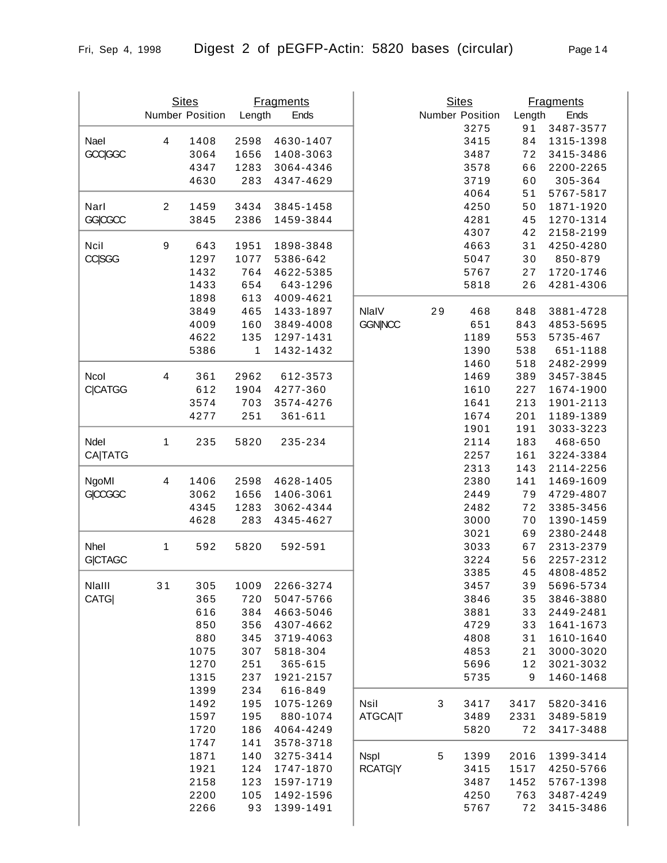| Page 14 |  |
|---------|--|
|         |  |
|         |  |

|                |                | <b>Sites</b><br>Number Position | Length | <b>Fragments</b><br>Ends |                |    | <b>Sites</b><br>Number Position | Length | <b>Fragments</b><br>Ends |
|----------------|----------------|---------------------------------|--------|--------------------------|----------------|----|---------------------------------|--------|--------------------------|
|                |                |                                 |        |                          |                |    | 3275                            | 91     | 3487-3577                |
| Nael           | 4              | 1408                            | 2598   | 4630-1407                |                |    | 3415                            | 84     | 1315-1398                |
| <b>GCC GGC</b> |                | 3064                            | 1656   | 1408-3063                |                |    | 3487                            | 72     | 3415-3486                |
|                |                | 4347                            | 1283   | 3064-4346                |                |    | 3578                            | 66     | 2200-2265                |
|                |                | 4630                            | 283    | 4347-4629                |                |    | 3719                            | 60     | 305-364                  |
|                |                |                                 |        |                          |                |    | 4064                            | 51     | 5767-5817                |
| Narl           | $\overline{c}$ | 1459                            | 3434   | 3845-1458                |                |    | 4250                            | 50     | 1871-1920                |
| <b>GGICGCC</b> |                | 3845                            | 2386   | 1459-3844                |                |    | 4281                            | 45     | 1270-1314                |
|                |                |                                 |        |                          |                |    | 4307                            | 42     | 2158-2199                |
| Ncil           | 9              | 643                             | 1951   | 1898-3848                |                |    | 4663                            | 31     | 4250-4280                |
| <b>CC SGG</b>  |                | 1297                            | 1077   | 5386-642                 |                |    | 5047                            | 30     | 850-879                  |
|                |                | 1432                            | 764    | 4622-5385                |                |    | 5767                            | 27     | 1720-1746                |
|                |                | 1433                            | 654    | 643-1296                 |                |    | 5818                            | 26     | 4281-4306                |
|                |                | 1898                            | 613    | 4009-4621                |                |    |                                 |        |                          |
|                |                | 3849                            | 465    | 1433-1897                | NlalV          | 29 | 468                             | 848    | 3881-4728                |
|                |                | 4009                            | 160    | 3849-4008                | <b>GGN NCC</b> |    | 651                             | 843    | 4853-5695                |
|                |                | 4622                            | 135    | 1297-1431                |                |    | 1189                            | 553    | 5735-467                 |
|                |                | 5386                            | 1      | 1432-1432                |                |    | 1390                            | 538    | 651-1188                 |
|                |                |                                 |        |                          |                |    | 1460                            | 518    | 2482-2999                |
| Ncol           | 4              | 361                             | 2962   | 612-3573                 |                |    | 1469                            | 389    | 3457-3845                |
| <b>C CATGG</b> |                | 612                             | 1904   | 4277-360                 |                |    | 1610                            | 227    | 1674-1900                |
|                |                | 3574                            | 703    | 3574-4276                |                |    | 1641                            | 213    | 1901-2113                |
|                |                |                                 |        |                          |                |    |                                 |        |                          |
|                |                | 4277                            | 251    | 361-611                  |                |    | 1674                            | 201    | 1189-1389                |
|                |                |                                 |        |                          |                |    | 1901                            | 191    | 3033-3223                |
| Ndel           | 1              | 235                             | 5820   | 235-234                  |                |    | 2114                            | 183    | 468-650                  |
| <b>CA TATG</b> |                |                                 |        |                          |                |    | 2257                            | 161    | 3224-3384                |
|                |                |                                 |        |                          |                |    | 2313                            | 143    | 2114-2256                |
| NgoMI          | 4              | 1406                            | 2598   | 4628-1405                |                |    | 2380                            | 141    | 1469-1609                |
| <b>GICCGGC</b> |                | 3062                            | 1656   | 1406-3061                |                |    | 2449                            | 79     | 4729-4807                |
|                |                | 4345                            | 1283   | 3062-4344                |                |    | 2482                            | 72     | 3385-3456                |
|                |                | 4628                            | 283    | 4345-4627                |                |    | 3000                            | 70     | 1390-1459                |
|                |                |                                 |        |                          |                |    | 3021                            | 69     | 2380-2448                |
| Nhel           | 1              | 592                             | 5820   | 592-591                  |                |    | 3033                            | 67     | 2313-2379                |
| <b>GICTAGC</b> |                |                                 |        |                          |                |    | 3224                            | 56     | 2257-2312                |
|                |                |                                 |        |                          |                |    | 3385                            | 45     | 4808-4852                |
| Nialli         | 31             | 305                             | 1009   | 2266-3274                |                |    | 3457                            | 39     | 5696-5734                |
| <b>CATG</b>    |                | 365                             | 720    | 5047-5766                |                |    | 3846                            | 35     | 3846-3880                |
|                |                | 616                             | 384    | 4663-5046                |                |    | 3881                            | 33     | 2449-2481                |
|                |                | 850                             | 356    | 4307-4662                |                |    | 4729                            | 33     | 1641-1673                |
|                |                | 880                             | 345    | 3719-4063                |                |    | 4808                            | 31     | 1610-1640                |
|                |                | 1075                            | 307    | 5818-304                 |                |    | 4853                            | 21     | 3000-3020                |
|                |                | 1270                            | 251    | 365-615                  |                |    | 5696                            | 12     | 3021-3032                |
|                |                | 1315                            | 237    | 1921-2157                |                |    | 5735                            | 9      | 1460-1468                |
|                |                | 1399                            | 234    | 616-849                  |                |    |                                 |        |                          |
|                |                | 1492                            | 195    | 1075-1269                | <b>Nsil</b>    | 3  | 3417                            | 3417   | 5820-3416                |
|                |                | 1597                            | 195    | 880-1074                 | <b>ATGCAIT</b> |    | 3489                            | 2331   | 3489-5819                |
|                |                | 1720                            | 186    | 4064-4249                |                |    | 5820                            | 72     | 3417-3488                |
|                |                | 1747                            | 141    | 3578-3718                |                |    |                                 |        |                          |
|                |                | 1871                            | 140    | 3275-3414                | <b>Nspl</b>    | 5  | 1399                            | 2016   | 1399-3414                |
|                |                | 1921                            | 124    | 1747-1870                | <b>RCATG Y</b> |    | 3415                            | 1517   | 4250-5766                |
|                |                | 2158                            | 123    | 1597-1719                |                |    | 3487                            | 1452   | 5767-1398                |
|                |                | 2200                            | 105    | 1492-1596                |                |    | 4250                            | 763    | 3487-4249                |
|                |                | 2266                            | 93     | 1399-1491                |                |    | 5767                            | 72     | 3415-3486                |
|                |                |                                 |        |                          |                |    |                                 |        |                          |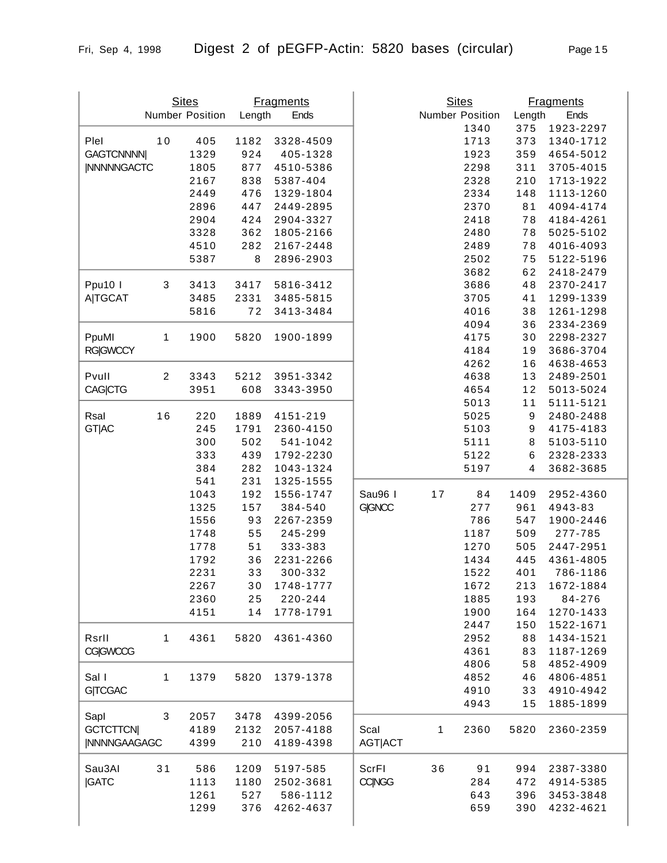| Page 1 |  |
|--------|--|
|        |  |
|        |  |

|                     |                | <b>Sites</b><br>Number Position | Length | <b>Fragments</b><br>Ends |                |              | <b>Sites</b><br>Number Position | Length | <b>Fragments</b><br>Ends |
|---------------------|----------------|---------------------------------|--------|--------------------------|----------------|--------------|---------------------------------|--------|--------------------------|
|                     |                |                                 |        |                          |                |              | 1340                            | 375    | 1923-2297                |
| Plel                | 10             | 405                             | 1182   | 3328-4509                |                |              | 1713                            | 373    | 1340-1712                |
| <b>GAGTCNNNNI</b>   |                | 1329                            | 924    | 405-1328                 |                |              | 1923                            | 359    | 4654-5012                |
| <b>INNNNNGACTC</b>  |                | 1805                            | 877    | 4510-5386                |                |              | 2298                            | 311    | 3705-4015                |
|                     |                | 2167                            | 838    | 5387-404                 |                |              | 2328                            | 210    | 1713-1922                |
|                     |                | 2449                            | 476    | 1329-1804                |                |              | 2334                            | 148    | 1113-1260                |
|                     |                | 2896                            | 447    | 2449-2895                |                |              | 2370                            | 81     | 4094-4174                |
|                     |                | 2904                            | 424    | 2904-3327                |                |              | 2418                            | 78     | 4184-4261                |
|                     |                | 3328                            | 362    | 1805-2166                |                |              | 2480                            | 78     | 5025-5102                |
|                     |                | 4510                            | 282    | 2167-2448                |                |              | 2489                            | 78     | 4016-4093                |
|                     |                | 5387                            | 8      | 2896-2903                |                |              | 2502                            | 75     | 5122-5196                |
|                     |                |                                 |        |                          |                |              | 3682                            | 62     | 2418-2479                |
| Ppu10 I             | 3              | 3413                            | 3417   | 5816-3412                |                |              | 3686                            | 48     | 2370-2417                |
| <b>A TGCAT</b>      |                | 3485                            | 2331   | 3485-5815                |                |              | 3705                            | 41     | 1299-1339                |
|                     |                | 5816                            | 72     | 3413-3484                |                |              | 4016                            | 38     | 1261-1298                |
|                     |                |                                 |        |                          |                |              | 4094                            | 36     | 2334-2369                |
| PpuMl               | 1              | 1900                            | 5820   | 1900-1899                |                |              | 4175                            | 30     | 2298-2327                |
| <b>RG GWCCY</b>     |                |                                 |        |                          |                |              | 4184                            | 19     | 3686-3704                |
|                     |                |                                 |        |                          |                |              | 4262                            | 16     | 4638-4653                |
| Pvull               | $\overline{2}$ | 3343                            | 5212   | 3951-3342                |                |              | 4638                            | 13     | 2489-2501                |
|                     |                | 3951                            | 608    | 3343-3950                |                |              | 4654                            | 12     | 5013-5024                |
| <b>CAG CTG</b>      |                |                                 |        |                          |                |              | 5013                            |        | 5111-5121                |
|                     |                |                                 |        |                          |                |              |                                 | 11     |                          |
| Rsal                | 16             | 220                             | 1889   | 4151-219                 |                |              | 5025                            | 9      | 2480-2488                |
| <b>GT AC</b>        |                | 245                             | 1791   | 2360-4150                |                |              | 5103                            | 9      | 4175-4183                |
|                     |                | 300                             | 502    | 541-1042                 |                |              | 5111                            | 8      | 5103-5110                |
|                     |                | 333                             | 439    | 1792-2230                |                |              | 5122                            | 6      | 2328-2333                |
|                     |                | 384                             | 282    | 1043-1324                |                |              | 5197                            | 4      | 3682-3685                |
|                     |                | 541                             | 231    | 1325-1555                |                |              |                                 |        |                          |
|                     |                | 1043                            | 192    | 1556-1747                | Sau96 I        | 17           | 84                              | 1409   | 2952-4360                |
|                     |                | 1325                            | 157    | 384-540                  | <b>G GNCC</b>  |              | 277                             | 961    | 4943-83                  |
|                     |                | 1556                            | 93     | 2267-2359                |                |              | 786                             | 547    | 1900-2446                |
|                     |                | 1748                            | 55     | 245-299                  |                |              | 1187                            | 509    | 277-785                  |
|                     |                | 1778                            | 51     | 333-383                  |                |              | 1270                            | 505    | 2447-2951                |
|                     |                | 1792                            | 36     | 2231-2266                |                |              | 1434                            | 445    | 4361-4805                |
|                     |                | 2231                            | 33     | 300-332                  |                |              | 1522                            | 401    | 786-1186                 |
|                     |                | 2267                            | 30     | 1748-1777                |                |              | 1672                            | 213    | 1672-1884                |
|                     |                | 2360                            | 25     | 220-244                  |                |              | 1885                            | 193    | 84-276                   |
|                     |                | 4151                            | 14     | 1778-1791                |                |              | 1900                            | 164    | 1270-1433                |
|                     |                |                                 |        |                          |                |              | 2447                            | 150    | 1522-1671                |
| Rsrll               | 1              | 4361                            | 5820   | 4361-4360                |                |              | 2952                            | 88     | 1434-1521                |
| <b>CG GWCCG</b>     |                |                                 |        |                          |                |              | 4361                            | 83     | 1187-1269                |
|                     |                |                                 |        |                          |                |              | 4806                            | 58     | 4852-4909                |
| Sal I               | 1              | 1379                            | 5820   | 1379-1378                |                |              | 4852                            | 46     | 4806-4851                |
| <b>G TCGAC</b>      |                |                                 |        |                          |                |              | 4910                            | 33     | 4910-4942                |
|                     |                |                                 |        |                          |                |              | 4943                            | 15     | 1885-1899                |
| Sapl                | 3              | 2057                            | 3478   | 4399-2056                |                |              |                                 |        |                          |
| <b>GCTCTTCN</b>     |                | 4189                            | 2132   | 2057-4188                | Scal           | $\mathbf{1}$ | 2360                            | 5820   | 2360-2359                |
| <b>INNNNGAAGAGC</b> |                | 4399                            | 210    | 4189-4398                | <b>AGT ACT</b> |              |                                 |        |                          |
|                     |                |                                 |        |                          |                |              |                                 |        |                          |
| Sau3AI              | 31             | 586                             | 1209   | 5197-585                 | ScrFI          | 36           | 91                              | 994    | 2387-3380                |
| <b>IGATC</b>        |                | 1113                            | 1180   | 2502-3681                | <b>CCINGG</b>  |              | 284                             | 472    | 4914-5385                |
|                     |                | 1261                            | 527    | 586-1112                 |                |              | 643                             | 396    | 3453-3848                |
|                     |                | 1299                            | 376    | 4262-4637                |                |              | 659                             | 390    | 4232-4621                |
|                     |                |                                 |        |                          |                |              |                                 |        |                          |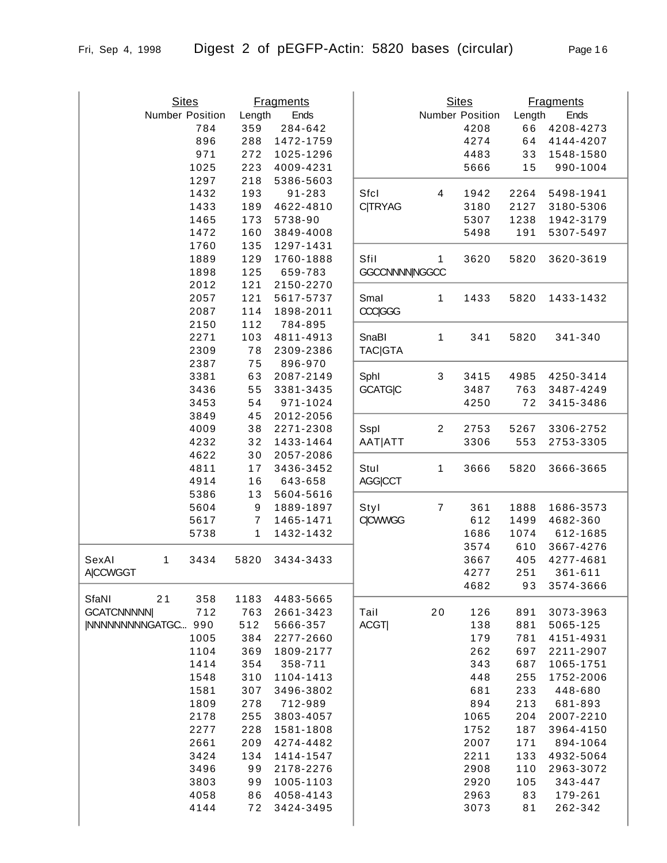Sites Fragments Number Position Length Ends

| es       |        | <b>Fragments</b> |                 |   | <b>Sites</b>           |        | <b>Fragments</b> |
|----------|--------|------------------|-----------------|---|------------------------|--------|------------------|
| Position | Length | Ends             |                 |   | <b>Number Position</b> | Length | Ends             |
| 784      | 359    | 284-642          |                 |   | 4208                   | 66     | 4208-4273        |
| 896      | 288    | 1472-1759        |                 |   | 4274                   | 64     | 4144-4207        |
| 971      | 272    | 1025-1296        |                 |   | 4483                   | 33     | 1548-1580        |
| 1025     | 223    | 4009-4231        |                 |   | 5666                   | 15     | 990-1004         |
| 1297     | 218    | 5386-5603        |                 |   |                        |        |                  |
| 1432     | 193    | 91-283           | Sfcl            | 4 | 1942                   | 2264   | 5498-1941        |
| 1433     | 189    | 4622-4810        | <b>C TRYAG</b>  |   | 3180                   | 2127   | 3180-5306        |
| 1465     | 173    | 5738-90          |                 |   | 5307                   | 1238   | 1942-3179        |
| 1472     | 160    | 3849-4008        |                 |   | 5498                   | 191    | 5307-5497        |
| 1760     | 135    | 1297-1431        |                 |   |                        |        |                  |
| 1889     | 129    | 1760-1888        | Sfil            | 1 | 3620                   | 5820   | 3620-3619        |
| 1898     | 125    | 659-783          | GGCCNNNN NGGCC  |   |                        |        |                  |
| 2012     | 121    | 2150-2270        |                 |   |                        |        |                  |
| 2057     | 121    | 5617-5737        | Smal            | 1 | 1433                   | 5820   | 1433-1432        |
| 2087     | 114    | 1898-2011        | <b>CCC</b>  GGG |   |                        |        |                  |
| 2150     | 112    | 784-895          |                 |   |                        |        |                  |
| 2271     | 103    | 4811-4913        | SnaBI           | 1 | 341                    | 5820   | 341-340          |
| 2309     | 78     | 2309-2386        | <b>TAC GTA</b>  |   |                        |        |                  |
| 2387     | 75     | 896-970          |                 |   |                        |        |                  |
| 3381     | 63     | 2087-2149        | Sphl            | 3 | 3415                   | 4985   | 4250-3414        |
| 3436     | 55     | 3381-3435        | <b>GCATGIC</b>  |   | 3487                   | 763    | 3487-4249        |

|                           | 1472 | 160              | 3849-4008 |                       |                | 5498 | 191   | 5307-5497 |
|---------------------------|------|------------------|-----------|-----------------------|----------------|------|-------|-----------|
|                           | 1760 | 135              | 1297-1431 |                       |                |      |       |           |
|                           | 1889 | 129              | 1760-1888 | Sfil                  | $\mathbf{1}$   | 3620 | 5820  | 3620-3619 |
|                           | 1898 | 125              | 659-783   | <b>GGCCNNNNINGGCC</b> |                |      |       |           |
|                           | 2012 | 121              | 2150-2270 |                       |                |      |       |           |
|                           | 2057 | 121              | 5617-5737 | Smal                  | 1              | 1433 | 5820  | 1433-1432 |
|                           | 2087 | 114              | 1898-2011 | <b>CCCIGGG</b>        |                |      |       |           |
|                           | 2150 | 112              | 784-895   |                       |                |      |       |           |
|                           | 2271 | 103              | 4811-4913 | SnaBl                 | 1              | 341  | 5820  | 341-340   |
|                           | 2309 | 78               | 2309-2386 | <b>TAC GTA</b>        |                |      |       |           |
|                           | 2387 | 75               | 896-970   |                       |                |      |       |           |
|                           | 3381 | 63               | 2087-2149 | Sphl                  | 3              | 3415 | 4985  | 4250-3414 |
|                           | 3436 | 55               | 3381-3435 | <b>GCATGIC</b>        |                | 3487 | 763   | 3487-4249 |
|                           | 3453 | 54               | 971-1024  |                       |                | 4250 | 72    | 3415-3486 |
|                           | 3849 | 45               | 2012-2056 |                       |                |      |       |           |
|                           | 4009 | 38               | 2271-2308 | Sspl                  | $\overline{2}$ | 2753 | 5267  | 3306-2752 |
|                           | 4232 | 32               | 1433-1464 | AAT ATT               |                | 3306 | 553   | 2753-3305 |
|                           | 4622 | 30               | 2057-2086 |                       |                |      |       |           |
|                           | 4811 | 17               | 3436-3452 | Stul                  | 1              | 3666 | 5820  | 3666-3665 |
|                           | 4914 | 16               | 643-658   | <b>AGG CCT</b>        |                |      |       |           |
|                           | 5386 | 13               | 5604-5616 |                       |                |      |       |           |
|                           | 5604 | $\boldsymbol{9}$ | 1889-1897 | Styl                  | $\overline{7}$ | 361  | 1888  | 1686-3573 |
|                           | 5617 | 7                | 1465-1471 | <b>C CWWGG</b>        |                | 612  | 1499  | 4682-360  |
|                           | 5738 | 1                | 1432-1432 |                       |                | 1686 | 1074  | 612-1685  |
|                           |      |                  |           |                       |                | 3574 | 610   | 3667-4276 |
| SexAl<br>1                | 3434 | 5820             | 3434-3433 |                       |                | 3667 | 405   | 4277-4681 |
| <b>A CCWGGT</b>           |      |                  |           |                       |                | 4277 | 251   | 361-611   |
| SfaNI<br>21               | 358  | 1183             | 4483-5665 |                       |                | 4682 | 93    | 3574-3666 |
| <b>GCATCNNNNNI</b>        | 712  | 763              | 2661-3423 | Tail                  | 20             | 126  | 891   | 3073-3963 |
| <b>INNNNNNNNGATGC 990</b> |      | 512              | 5666-357  | ACGT                  |                | 138  | 881   | 5065-125  |
|                           | 1005 | 384              | 2277-2660 |                       |                | 179  | 781   | 4151-4931 |
|                           | 1104 | 369              | 1809-2177 |                       |                | 262  | 697   | 2211-2907 |
|                           | 1414 | 354              | 358-711   |                       |                | 343  | 687   | 1065-1751 |
|                           | 1548 | 310              | 1104-1413 |                       |                | 448  | 255   | 1752-2006 |
|                           | 1581 | 307              | 3496-3802 |                       |                | 681  | 233   | 448-680   |
|                           | 1809 | 278              | 712-989   |                       |                | 894  | 213   | 681-893   |
|                           | 2178 | 255              | 3803-4057 |                       |                | 1065 | 204   | 2007-2210 |
|                           | 2277 | 228              | 1581-1808 |                       |                | 1752 | 187   | 3964-4150 |
|                           | 2661 | 209              | 4274-4482 |                       |                | 2007 | $171$ | 894-1064  |
|                           | 3424 | 134              | 1414-1547 |                       |                | 2211 | 133   | 4932-5064 |
|                           | 3496 | 99               | 2178-2276 |                       |                | 2908 | 110   | 2963-3072 |
|                           | 3803 | 99               | 1005-1103 |                       |                | 2920 | 105   | 343-447   |
|                           | 4058 | 86               | 4058-4143 |                       |                | 2963 | 83    | 179-261   |
|                           | 4144 | 72               | 3424-3495 |                       |                | 3073 | 81    | 262-342   |
|                           |      |                  |           |                       |                |      |       |           |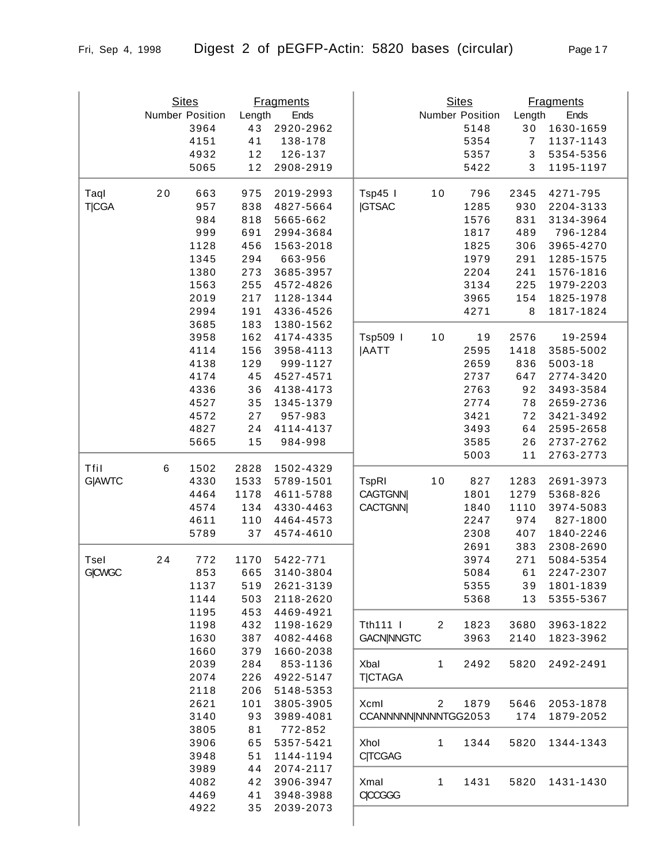|               |    | <b>Sites</b>    |            | <b>Fragments</b>       |                      |                | <b>Sites</b>    |                           | <b>Fragments</b> |
|---------------|----|-----------------|------------|------------------------|----------------------|----------------|-----------------|---------------------------|------------------|
|               |    | Number Position | Length     | Ends                   |                      |                | Number Position | Length                    | Ends             |
|               |    | 3964            | 43         | 2920-2962              |                      |                | 5148            | 30                        | 1630-1659        |
|               |    | 4151            | 41         | 138-178                |                      |                | 5354            | $\overline{7}$            | 1137-1143        |
|               |    | 4932            | 12         | 126-137                |                      |                | 5357            | $\ensuremath{\mathsf{3}}$ | 5354-5356        |
|               |    | 5065            | 12         | 2908-2919              |                      |                | 5422            | 3                         | 1195-1197        |
| Taql          | 20 | 663             | 975        | 2019-2993              | Tsp45 I              | $10$           | 796             | 2345                      | 4271-795         |
| <b>T CGA</b>  |    | 957             | 838        | 4827-5664              | <b>JGTSAC</b>        |                | 1285            | 930                       | 2204-3133        |
|               |    | 984             | 818        | 5665-662               |                      |                | 1576            | 831                       | 3134-3964        |
|               |    | 999             | 691        | 2994-3684              |                      |                | 1817            | 489                       | 796-1284         |
|               |    | 1128            | 456        | 1563-2018              |                      |                | 1825            | 306                       | 3965-4270        |
|               |    | 1345            | 294        | 663-956                |                      |                | 1979            | 291                       | 1285-1575        |
|               |    | 1380            | 273        | 3685-3957              |                      |                | 2204            | 241                       | 1576-1816        |
|               |    | 1563            | 255        | 4572-4826              |                      |                | 3134            | 225                       | 1979-2203        |
|               |    | 2019            | 217        | 1128-1344              |                      |                | 3965            | 154                       | 1825-1978        |
|               |    | 2994            | 191        | 4336-4526              |                      |                | 4271            | 8                         | 1817-1824        |
|               |    | 3685            | 183        | 1380-1562              |                      |                |                 |                           |                  |
|               |    | 3958            | 162        | 4174-4335              | Tsp509               | $10$           | 19              | 2576                      | 19-2594          |
|               |    | 4114            | 156        | 3958-4113              | <b>JAATT</b>         |                | 2595            | 1418                      | 3585-5002        |
|               |    | 4138            | 129        | 999-1127               |                      |                | 2659            | 836                       | 5003-18          |
|               |    | 4174            | 45         | 4527-4571              |                      |                | 2737            | 647                       | 2774-3420        |
|               |    | 4336            | 36         | 4138-4173              |                      |                | 2763            | 92                        | 3493-3584        |
|               |    | 4527            | 35         | 1345-1379              |                      |                | 2774            | 78                        | 2659-2736        |
|               |    | 4572            | 27         | 957-983                |                      |                | 3421            | 72                        | 3421-3492        |
|               |    | 4827            | 24         | 4114-4137              |                      |                | 3493            | 64                        | 2595-2658        |
|               |    | 5665            | 15         | 984-998                |                      |                | 3585            | 26                        | 2737-2762        |
|               |    |                 |            |                        |                      |                | 5003            | 11                        | 2763-2773        |
| Tfil          | 6  | 1502            | 2828       | 1502-4329              |                      |                |                 |                           |                  |
| G AWTC        |    | 4330            | 1533       | 5789-1501              | <b>TspRI</b>         | 10             | 827             | 1283                      | 2691-3973        |
|               |    | 4464            | 1178       | 4611-5788              | <b>CAGTGNN</b>       |                | 1801            | 1279                      | 5368-826         |
|               |    | 4574            | 134        | 4330-4463              | <b>CACTGNN</b>       |                | 1840            | 1110                      | 3974-5083        |
|               |    | 4611            | 110        | 4464-4573              |                      |                | 2247            | 974                       | 827-1800         |
|               |    | 5789            | 37         | 4574-4610              |                      |                | 2308            | 407                       | 1840-2246        |
|               |    |                 |            |                        |                      |                | 2691            | 383                       | 2308-2690        |
| Tsel          | 24 | 772             | 1170       | 5422-771               |                      |                | 3974            | 271                       | 5084-5354        |
| <b>G CWGC</b> |    | 853             | 665        | 3140-3804              |                      |                | 5084            | 61                        | 2247-2307        |
|               |    | 1137            | 519        | 2621-3139              |                      |                | 5355            | 39                        | 1801-1839        |
|               |    | 1144            | 503        | 2118-2620              |                      |                | 5368            | 13                        | 5355-5367        |
|               |    | 1195            | 453        | 4469-4921              |                      |                |                 |                           |                  |
|               |    | 1198            | 432        | 1198-1629              | Tth111               | $\overline{c}$ | 1823            | 3680                      | 3963-1822        |
|               |    | 1630<br>1660    | 387        | 4082-4468<br>1660-2038 | <b>GACN NNGTC</b>    |                | 3963            | 2140                      | 1823-3962        |
|               |    | 2039            | 379        |                        | Xbal                 |                | 2492            |                           |                  |
|               |    | 2074            | 284<br>226 | 853-1136<br>4922-5147  |                      | 1              |                 | 5820                      | 2492-2491        |
|               |    | 2118            | 206        | 5148-5353              | <b>T CTAGA</b>       |                |                 |                           |                  |
|               |    | 2621            | 101        | 3805-3905              | Xcml                 | $\overline{2}$ | 1879            | 5646                      | 2053-1878        |
|               |    | 3140            | 93         | 3989-4081              | CCANNNNN NNNNTGG2053 |                |                 | 174                       | 1879-2052        |
|               |    | 3805            | 81         | 772-852                |                      |                |                 |                           |                  |
|               |    | 3906            | 65         | 5357-5421              | Xhol                 | 1              | 1344            | 5820                      | 1344-1343        |
|               |    | 3948            | 51         | 1144-1194              | <b>C TCGAG</b>       |                |                 |                           |                  |
|               |    | 3989            | 44         | 2074-2117              |                      |                |                 |                           |                  |
|               |    | 4082            | 42         | 3906-3947              | Xmal                 | 1              | 1431            | 5820                      | 1431-1430        |
|               |    | 4469            | 41         | 3948-3988              | <b>CCCGGG</b>        |                |                 |                           |                  |
|               |    | 4922            | 35         | 2039-2073              |                      |                |                 |                           |                  |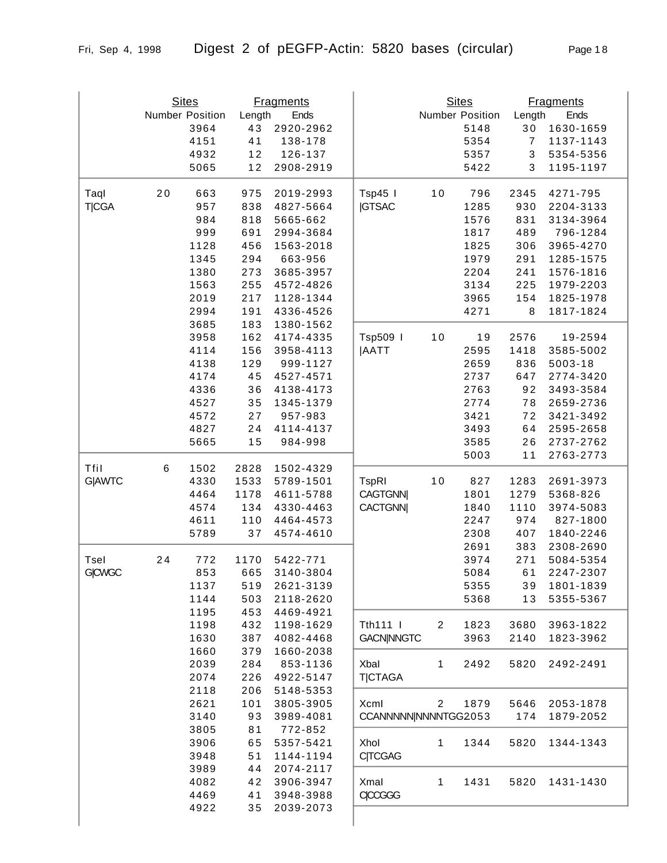|               |                 | <b>Sites</b> | <b>Fragments</b> |                        |                      | <b>Sites</b>    |      | <b>Fragments</b> |             |
|---------------|-----------------|--------------|------------------|------------------------|----------------------|-----------------|------|------------------|-------------|
|               | Number Position |              | Length<br>Ends   |                        |                      | Number Position |      | Ends<br>Length   |             |
|               |                 | 3964         | 43               | 2920-2962              |                      |                 | 5148 | 30               | 1630-1659   |
|               |                 | 4151         | 41               | 138-178                |                      |                 | 5354 | $\overline{7}$   | 1137-1143   |
|               |                 | 4932         | 12               | 126-137                |                      |                 | 5357 | 3                | 5354-5356   |
|               |                 | 5065         | 12               | 2908-2919              |                      |                 | 5422 | 3                | 1195-1197   |
| Taql          | 20              | 663          | 975              | 2019-2993              | Tsp45 I              | 10              | 796  | 2345             | 4271-795    |
| <b>T</b>  CGA |                 | 957          | 838              | 4827-5664              | <b>IGTSAC</b>        |                 | 1285 | 930              | 2204-3133   |
|               |                 | 984          | 818              | 5665-662               |                      |                 | 1576 | 831              | 3134-3964   |
|               |                 | 999          | 691              | 2994-3684              |                      |                 | 1817 | 489              | 796-1284    |
|               |                 | 1128         | 456              | 1563-2018              |                      |                 | 1825 | 306              | 3965-4270   |
|               |                 | 1345         | 294              | 663-956                |                      |                 | 1979 | 291              | 1285-1575   |
|               |                 | 1380         | 273              | 3685-3957              |                      |                 | 2204 | 241              | 1576-1816   |
|               |                 | 1563         | 255              | 4572-4826              |                      |                 | 3134 | 225              | 1979-2203   |
|               |                 | 2019         | 217              | 1128-1344              |                      |                 | 3965 | 154              | 1825-1978   |
|               |                 | 2994         | 191              | 4336-4526              |                      |                 | 4271 | 8                | 1817-1824   |
|               |                 | 3685         | 183              | 1380-1562              |                      |                 |      |                  |             |
|               |                 | 3958         | 162              | 4174-4335              | Tsp509               | 10              | 19   | 2576             | 19-2594     |
|               |                 | 4114         | 156              | 3958-4113              | <b>JAATT</b>         |                 | 2595 | 1418             | 3585-5002   |
|               |                 | 4138         | 129              | 999-1127               |                      |                 | 2659 | 836              | $5003 - 18$ |
|               |                 | 4174         | 45               | 4527-4571              |                      |                 | 2737 | 647              | 2774-3420   |
|               |                 | 4336         | 36               | 4138-4173              |                      |                 | 2763 | 92               | 3493-3584   |
|               |                 | 4527         | 35               | 1345-1379              |                      |                 | 2774 | 78               | 2659-2736   |
|               |                 | 4572         | 27               | 957-983                |                      |                 | 3421 | 72               | 3421-3492   |
|               |                 | 4827         | 24               | 4114-4137              |                      |                 | 3493 | 64               | 2595-2658   |
|               |                 | 5665         | 15               | 984-998                |                      |                 | 3585 | 26               | 2737-2762   |
|               |                 |              |                  |                        |                      |                 | 5003 | 11               | 2763-2773   |
| Tfil          | 6               | 1502         | 2828             | 1502-4329              |                      |                 |      |                  |             |
| G AWTC        |                 | 4330         | 1533             | 5789-1501              | <b>TspRI</b>         | $10$            | 827  | 1283             | 2691-3973   |
|               |                 | 4464         | 1178             | 4611-5788              | <b>CAGTGNN</b>       |                 | 1801 | 1279             | 5368-826    |
|               |                 | 4574         | 134              | 4330-4463              | <b>CACTGNN</b>       |                 | 1840 | 1110             | 3974-5083   |
|               |                 | 4611         | 110              | 4464-4573              |                      |                 | 2247 | 974              | 827-1800    |
|               |                 | 5789         | 37               | 4574-4610              |                      |                 | 2308 | 407              | 1840-2246   |
|               |                 |              |                  |                        |                      |                 | 2691 | 383              | 2308-2690   |
| Tsel          | 24              | 772          | 1170             | 5422-771               |                      |                 | 3974 | 271              | 5084-5354   |
| <b>G CWGC</b> |                 | 853          | 665              | 3140-3804              |                      |                 | 5084 | 61               | 2247-2307   |
|               |                 | 1137         | 519              | 2621-3139              |                      |                 | 5355 | 39               | 1801-1839   |
|               |                 | 1144         | 503              | 2118-2620              |                      |                 | 5368 | 13               | 5355-5367   |
|               |                 | 1195         | 453              | 4469-4921              |                      |                 |      |                  |             |
|               |                 | 1198         | 432              | 1198-1629              | Tth111               | 2               | 1823 | 3680             | 3963-1822   |
|               |                 | 1630<br>1660 | 387<br>379       | 4082-4468<br>1660-2038 | <b>GACN NNGTC</b>    |                 | 3963 | 2140             | 1823-3962   |
|               |                 | 2039         | 284              | 853-1136               | Xbal                 | 1               | 2492 | 5820             | 2492-2491   |
|               |                 | 2074         | 226              | 4922-5147              | <b>T CTAGA</b>       |                 |      |                  |             |
|               |                 | 2118         | 206              | 5148-5353              |                      |                 |      |                  |             |
|               |                 | 2621         | 101              | 3805-3905              | Xcml                 | $\overline{2}$  | 1879 | 5646             | 2053-1878   |
|               |                 | 3140         | 93               | 3989-4081              | CCANNNNN NNNNTGG2053 |                 |      | 174              | 1879-2052   |
|               |                 | 3805         | 81               | 772-852                |                      |                 |      |                  |             |
|               |                 | 3906         | 65               | 5357-5421              | Xhol                 | 1               | 1344 | 5820             | 1344-1343   |
|               |                 | 3948         | 51               | 1144-1194              | <b>C TCGAG</b>       |                 |      |                  |             |
|               |                 | 3989         | 44               | 2074-2117              |                      |                 |      |                  |             |
|               |                 | 4082         | 42               | 3906-3947              | Xmal                 | 1               | 1431 | 5820             | 1431-1430   |
|               |                 | 4469         | 41               | 3948-3988              | CICCGGG              |                 |      |                  |             |
|               |                 | 4922         | 35               | 2039-2073              |                      |                 |      |                  |             |